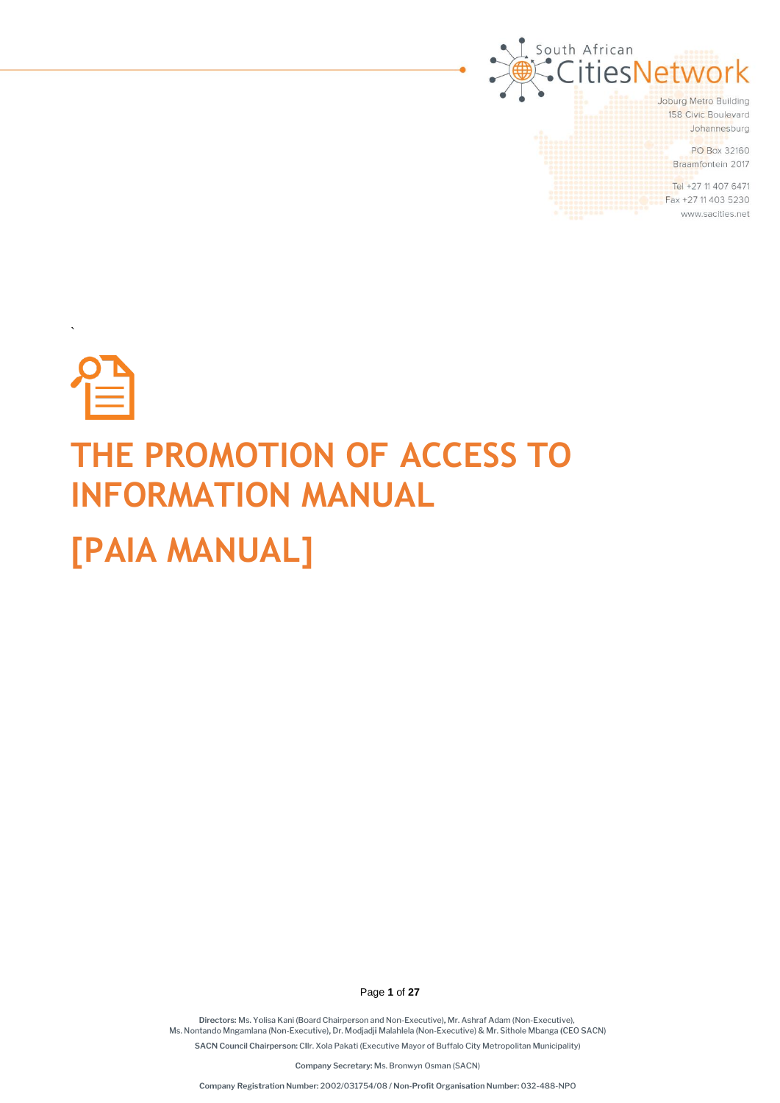

# **THE PROMOTION OF ACCESS TO INFORMATION MANUAL [PAIA MANUAL]**

`

Page **1** of **27**

Directors: Ms. Yolisa Kani (Board Chairperson and Non-Executive), Mr. Ashraf Adam (Non-Executive), Ms. Nontando Mngamlana (Non-Executive), Dr. Modjadji Malahlela (Non-Executive) & Mr. Sithole Mbanga (CEO SACN) SACN Council Chairperson: Cllr. Xola Pakati (Executive Mayor of Buffalo City Metropolitan Municipality)

Company Secretary: Ms. Bronwyn Osman (SACN)

Company Registration Number: 2002/031754/08 / Non-Profit Organisation Number: 032-488-NPO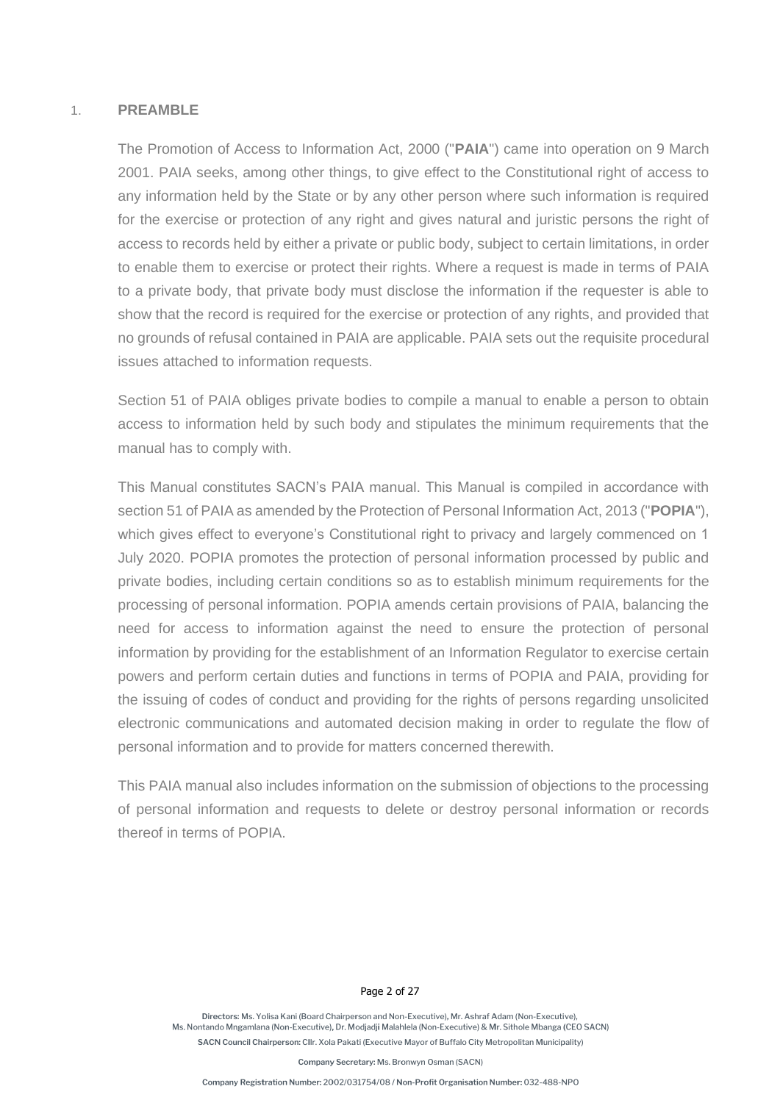#### 1. **PREAMBLE**

The Promotion of Access to Information Act, 2000 ("**PAIA**") came into operation on 9 March 2001. PAIA seeks, among other things, to give effect to the Constitutional right of access to any information held by the State or by any other person where such information is required for the exercise or protection of any right and gives natural and juristic persons the right of access to records held by either a private or public body, subject to certain limitations, in order to enable them to exercise or protect their rights. Where a request is made in terms of PAIA to a private body, that private body must disclose the information if the requester is able to show that the record is required for the exercise or protection of any rights, and provided that no grounds of refusal contained in PAIA are applicable. PAIA sets out the requisite procedural issues attached to information requests.

Section 51 of PAIA obliges private bodies to compile a manual to enable a person to obtain access to information held by such body and stipulates the minimum requirements that the manual has to comply with.

This Manual constitutes SACN's PAIA manual. This Manual is compiled in accordance with section 51 of PAIA as amended by the Protection of Personal Information Act, 2013 ("**POPIA**"), which gives effect to everyone's Constitutional right to privacy and largely commenced on 1 July 2020. POPIA promotes the protection of personal information processed by public and private bodies, including certain conditions so as to establish minimum requirements for the processing of personal information. POPIA amends certain provisions of PAIA, balancing the need for access to information against the need to ensure the protection of personal information by providing for the establishment of an Information Regulator to exercise certain powers and perform certain duties and functions in terms of POPIA and PAIA, providing for the issuing of codes of conduct and providing for the rights of persons regarding unsolicited electronic communications and automated decision making in order to regulate the flow of personal information and to provide for matters concerned therewith.

This PAIA manual also includes information on the submission of objections to the processing of personal information and requests to delete or destroy personal information or records thereof in terms of POPIA.

#### Page 2 of 27

Directors: Ms. Yolisa Kani (Board Chairnerson and Non-Executive), Mr. Ashraf Adam (Non-Executive) Ms. Nontando Mngamlana (Non-Executive), Dr. Modjadji Malahlela (Non-Executive) & Mr. Sithole Mbanga (CEO SACN) SACN Council Chairperson: Cllr. Xola Pakati (Executive Mayor of Buffalo City Metropolitan Municipality)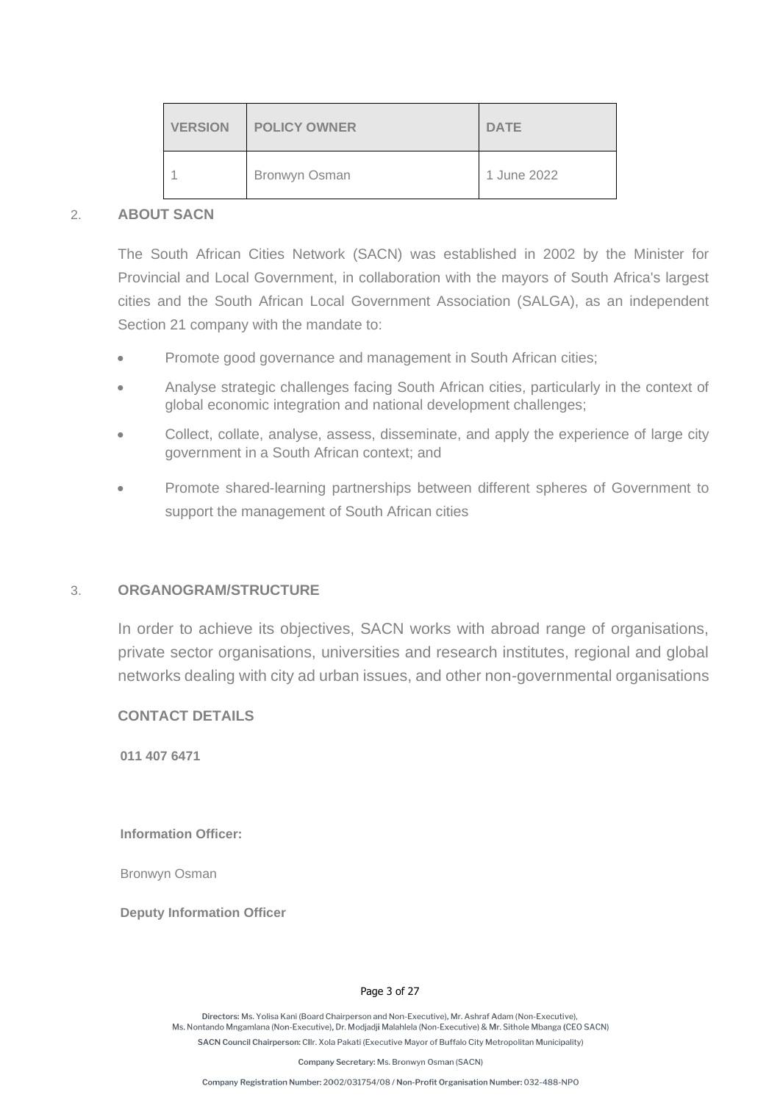| <b>VERSION</b> | <b>POLICY OWNER</b> | <b>DATE</b> |
|----------------|---------------------|-------------|
|                | Bronwyn Osman       | 1 June 2022 |

#### 2. **ABOUT SACN**

The South African Cities Network (SACN) was established in 2002 by the Minister for Provincial and Local Government, in collaboration with the mayors of South Africa's largest cities and the South African Local Government Association (SALGA), as an independent Section 21 company with the mandate to:

- Promote good governance and management in South African cities;
- Analyse strategic challenges facing South African cities, particularly in the context of global economic integration and national development challenges;
- Collect, collate, analyse, assess, disseminate, and apply the experience of large city government in a South African context; and
- Promote shared-learning partnerships between different spheres of Government to support the management of South African cities

#### 3. **ORGANOGRAM/STRUCTURE**

In order to achieve its objectives, SACN works with abroad range of organisations, private sector organisations, universities and research institutes, regional and global networks dealing with city ad urban issues, and other non-governmental organisations

**CONTACT DETAILS**

**011 407 6471**

**Information Officer:** 

Bronwyn Osman

**Deputy Information Officer**

#### Page 3 of 27

Directors: Ms. Yolisa Kani (Board Chairnerson and Non-Executive), Mr. Ashraf Adam (Non-Executive) Ms. Nontando Mngamlana (Non-Executive), Dr. Modjadji Malahlela (Non-Executive) & Mr. Sithole Mbanga (CEO SACN) SACN Council Chairperson: Cllr. Xola Pakati (Executive Mayor of Buffalo City Metropolitan Municipality)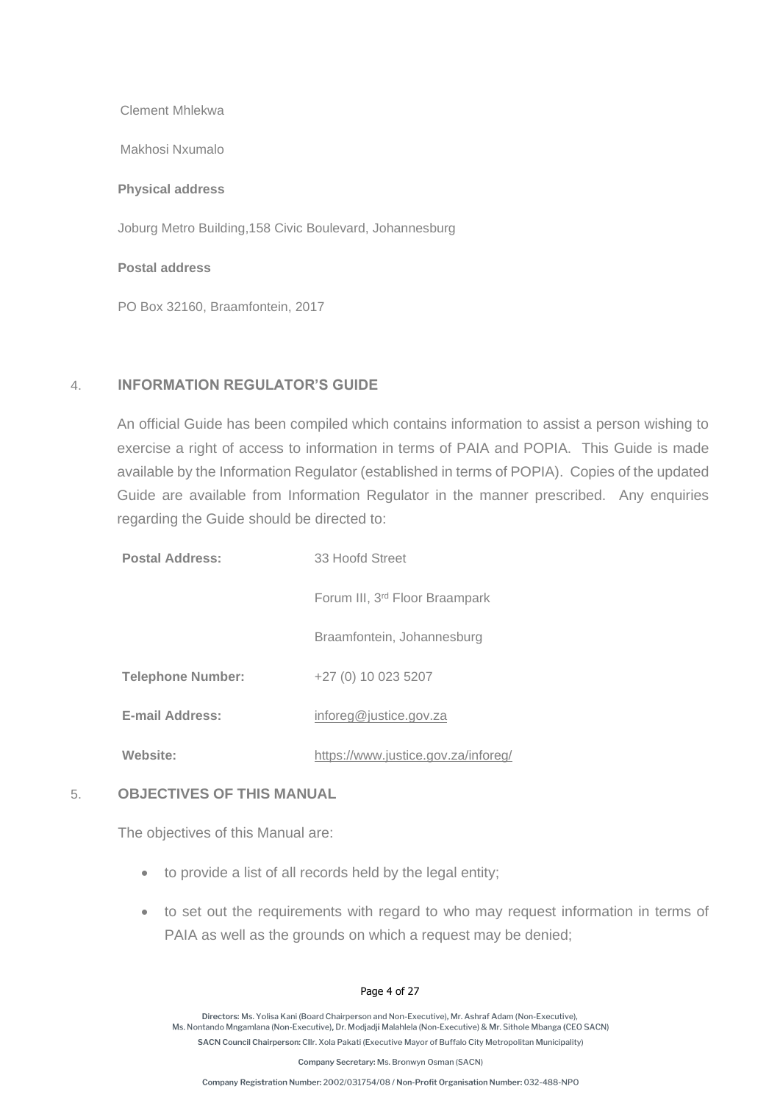Clement Mhlekwa

Makhosi Nxumalo

**Physical address**

Joburg Metro Building,158 Civic Boulevard, Johannesburg

**Postal address**

PO Box 32160, Braamfontein, 2017

#### 4. **INFORMATION REGULATOR'S GUIDE**

An official Guide has been compiled which contains information to assist a person wishing to exercise a right of access to information in terms of PAIA and POPIA. This Guide is made available by the Information Regulator (established in terms of POPIA). Copies of the updated Guide are available from Information Regulator in the manner prescribed. Any enquiries regarding the Guide should be directed to:

| <b>Postal Address:</b>   | 33 Hoofd Street                            |
|--------------------------|--------------------------------------------|
|                          | Forum III, 3 <sup>rd</sup> Floor Braampark |
|                          | Braamfontein, Johannesburg                 |
| <b>Telephone Number:</b> | +27 (0) 10 023 5207                        |
| <b>E-mail Address:</b>   | inforeg@justice.gov.za                     |
| Website:                 | https://www.justice.gov.za/inforeg/        |

#### 5. **OBJECTIVES OF THIS MANUAL**

The objectives of this Manual are:

- to provide a list of all records held by the legal entity;
- to set out the requirements with regard to who may request information in terms of PAIA as well as the grounds on which a request may be denied;

#### Page 4 of 27

Directors: Ms. Yolisa Kani (Board Chairperson and Non-Executive). Mr. Ashraf Adam (Non-Executive). Ms. Nontando Mngamlana (Non-Executive), Dr. Modjadji Malahlela (Non-Executive) & Mr. Sithole Mbanga (CEO SACN) SACN Council Chairperson: Cllr. Xola Pakati (Executive Mayor of Buffalo City Metropolitan Municipality)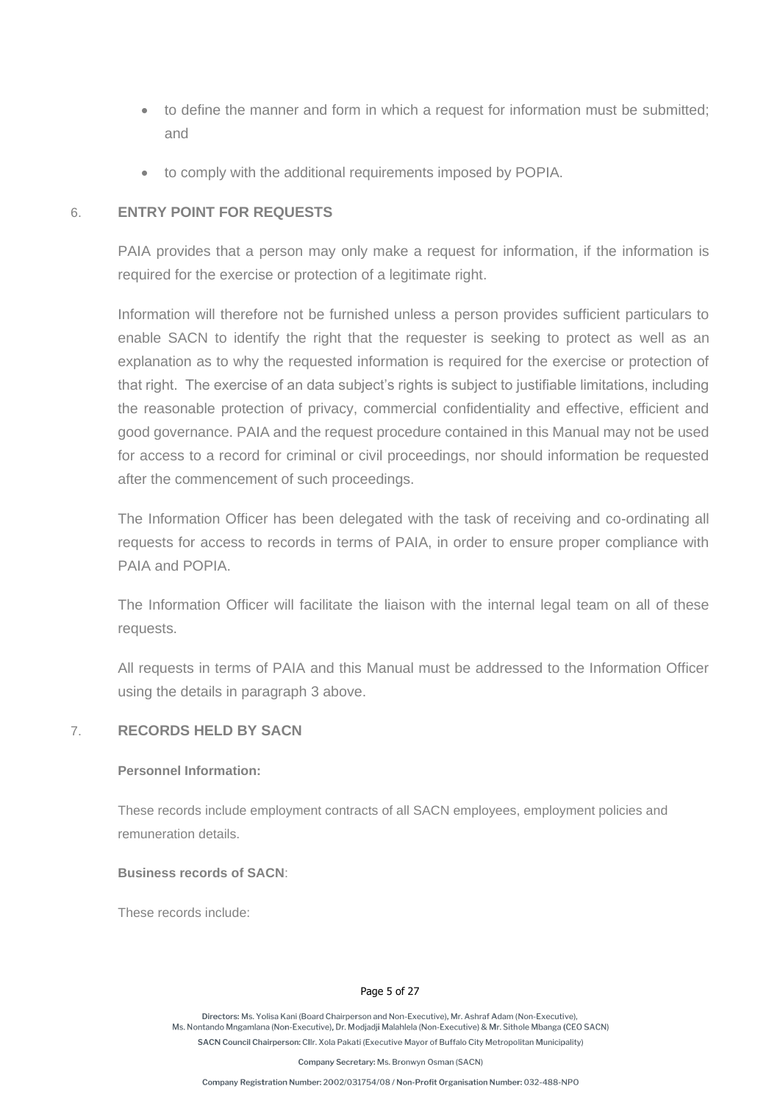- to define the manner and form in which a request for information must be submitted; and
- to comply with the additional requirements imposed by POPIA.

#### 6. **ENTRY POINT FOR REQUESTS**

PAIA provides that a person may only make a request for information, if the information is required for the exercise or protection of a legitimate right.

Information will therefore not be furnished unless a person provides sufficient particulars to enable SACN to identify the right that the requester is seeking to protect as well as an explanation as to why the requested information is required for the exercise or protection of that right. The exercise of an data subject's rights is subject to justifiable limitations, including the reasonable protection of privacy, commercial confidentiality and effective, efficient and good governance. PAIA and the request procedure contained in this Manual may not be used for access to a record for criminal or civil proceedings, nor should information be requested after the commencement of such proceedings.

The Information Officer has been delegated with the task of receiving and co-ordinating all requests for access to records in terms of PAIA, in order to ensure proper compliance with PAIA and POPIA.

The Information Officer will facilitate the liaison with the internal legal team on all of these requests.

All requests in terms of PAIA and this Manual must be addressed to the Information Officer using the details in paragraph 3 above.

#### 7. **RECORDS HELD BY SACN**

#### **Personnel Information:**

These records include employment contracts of all SACN employees, employment policies and remuneration details.

#### **Business records of SACN**:

These records include:

#### Page 5 of 27

Directors: Ms. Yolisa Kani (Board Chairnerson and Non-Executive), Mr. Ashraf Adam (Non-Executive) Ms. Nontando Mngamlana (Non-Executive), Dr. Modjadji Malahlela (Non-Executive) & Mr. Sithole Mbanga (CEO SACN) SACN Council Chairperson: Cllr. Xola Pakati (Executive Mayor of Buffalo City Metropolitan Municipality)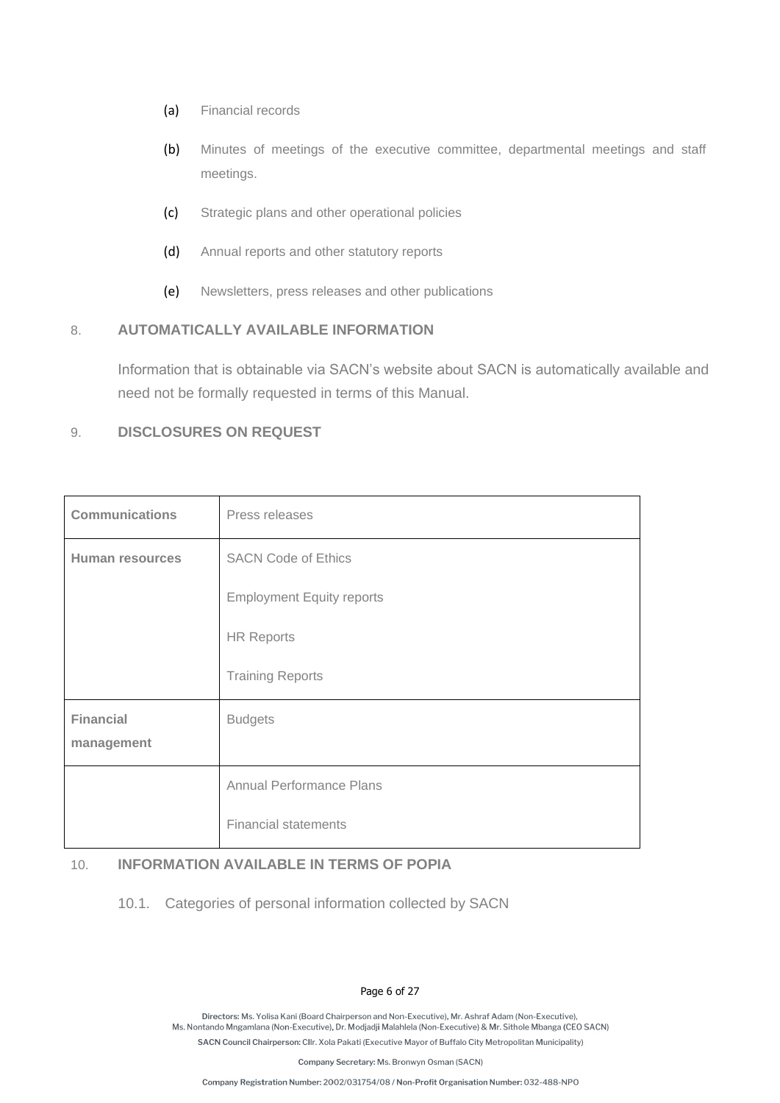- (a) Financial records
- (b) Minutes of meetings of the executive committee, departmental meetings and staff meetings.
- (c) Strategic plans and other operational policies
- (d) Annual reports and other statutory reports
- (e) Newsletters, press releases and other publications

### 8. **AUTOMATICALLY AVAILABLE INFORMATION**

Information that is obtainable via SACN's website about SACN is automatically available and need not be formally requested in terms of this Manual.

#### 9. **DISCLOSURES ON REQUEST**

| <b>Communications</b>  | Press releases                   |
|------------------------|----------------------------------|
| <b>Human resources</b> | <b>SACN Code of Ethics</b>       |
|                        | <b>Employment Equity reports</b> |
|                        | <b>HR Reports</b>                |
|                        | <b>Training Reports</b>          |
| <b>Financial</b>       | <b>Budgets</b>                   |
| management             |                                  |
|                        | Annual Performance Plans         |
|                        | <b>Financial statements</b>      |

#### 10. **INFORMATION AVAILABLE IN TERMS OF POPIA**

10.1. Categories of personal information collected by SACN

#### Page 6 of 27

Directors: Ms. Yolisa Kani (Board Chairperson and Non-Executive). Mr. Ashraf Adam (Non-Executive). Ms. Nontando Mngamlana (Non-Executive), Dr. Modjadji Malahlela (Non-Executive) & Mr. Sithole Mbanga (CEO SACN) SACN Council Chairperson: Cllr. Xola Pakati (Executive Mayor of Buffalo City Metropolitan Municipality)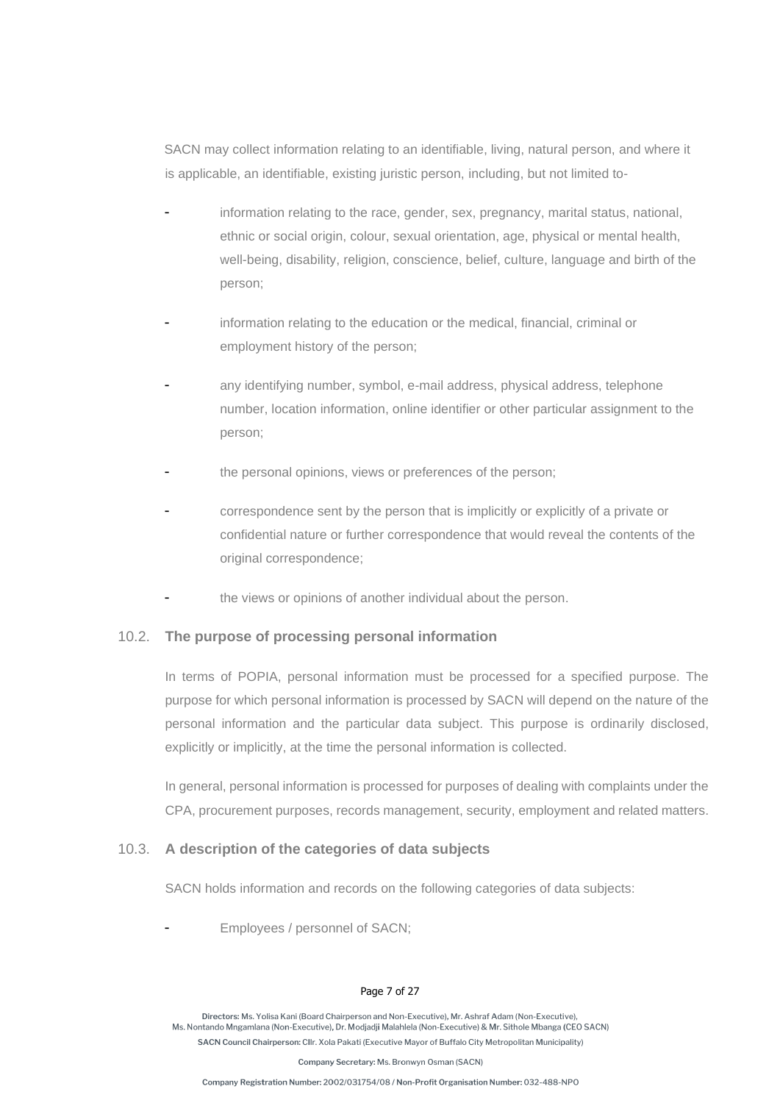SACN may collect information relating to an identifiable, living, natural person, and where it is applicable, an identifiable, existing juristic person, including, but not limited to-

- information relating to the race, gender, sex, pregnancy, marital status, national, ethnic or social origin, colour, sexual orientation, age, physical or mental health, well-being, disability, religion, conscience, belief, culture, language and birth of the person;
- information relating to the education or the medical, financial, criminal or employment history of the person;
- any identifying number, symbol, e-mail address, physical address, telephone number, location information, online identifier or other particular assignment to the person;
- the personal opinions, views or preferences of the person;
- correspondence sent by the person that is implicitly or explicitly of a private or confidential nature or further correspondence that would reveal the contents of the original correspondence;
- the views or opinions of another individual about the person.

#### 10.2. **The purpose of processing personal information**

In terms of POPIA, personal information must be processed for a specified purpose. The purpose for which personal information is processed by SACN will depend on the nature of the personal information and the particular data subject. This purpose is ordinarily disclosed, explicitly or implicitly, at the time the personal information is collected.

In general, personal information is processed for purposes of dealing with complaints under the CPA, procurement purposes, records management, security, employment and related matters.

#### 10.3. **A description of the categories of data subjects**

SACN holds information and records on the following categories of data subjects:

Employees / personnel of SACN;

#### Page 7 of 27

Directors: Ms. Yolisa Kani (Board Chairperson and Non-Executive). Mr. Ashraf Adam (Non-Executive). Ms. Nontando Mngamlana (Non-Executive), Dr. Modjadji Malahlela (Non-Executive) & Mr. Sithole Mbanga (CEO SACN) SACN Council Chairperson: Cllr. Xola Pakati (Executive Mayor of Buffalo City Metropolitan Municipality)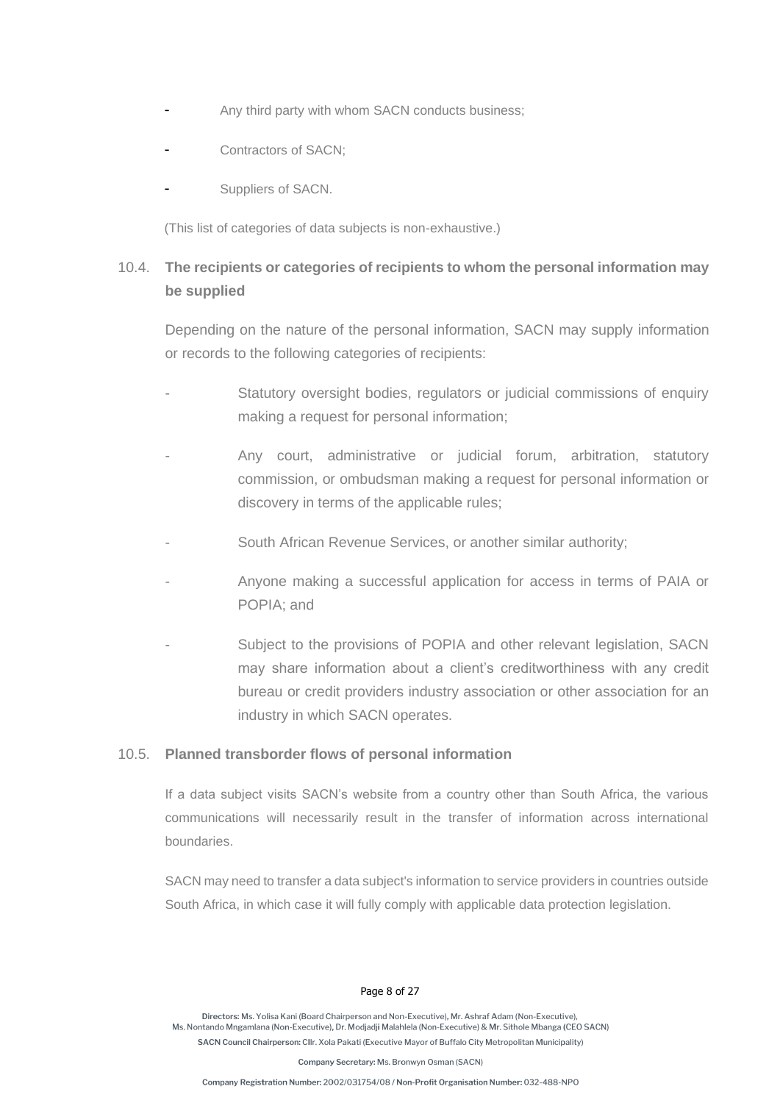- Any third party with whom SACN conducts business:
- Contractors of SACN:
- Suppliers of SACN.

(This list of categories of data subjects is non-exhaustive.)

# 10.4. **The recipients or categories of recipients to whom the personal information may be supplied**

Depending on the nature of the personal information, SACN may supply information or records to the following categories of recipients:

- Statutory oversight bodies, regulators or judicial commissions of enquiry making a request for personal information;
- Any court, administrative or judicial forum, arbitration, statutory commission, or ombudsman making a request for personal information or discovery in terms of the applicable rules;
- South African Revenue Services, or another similar authority;
- Anyone making a successful application for access in terms of PAIA or POPIA; and
- Subject to the provisions of POPIA and other relevant legislation, SACN may share information about a client's creditworthiness with any credit bureau or credit providers industry association or other association for an industry in which SACN operates.

#### 10.5. **Planned transborder flows of personal information**

If a data subject visits SACN's website from a country other than South Africa, the various communications will necessarily result in the transfer of information across international boundaries.

SACN may need to transfer a data subject's information to service providers in countries outside South Africa, in which case it will fully comply with applicable data protection legislation.

#### Page 8 of 27

Directors: Ms. Yolisa Kani (Board Chairperson and Non-Executive). Mr. Ashraf Adam (Non-Executive). Ms. Nontando Mngamlana (Non-Executive), Dr. Modjadji Malahlela (Non-Executive) & Mr. Sithole Mbanga (CEO SACN) SACN Council Chairperson: Cllr. Xola Pakati (Executive Mayor of Buffalo City Metropolitan Municipality)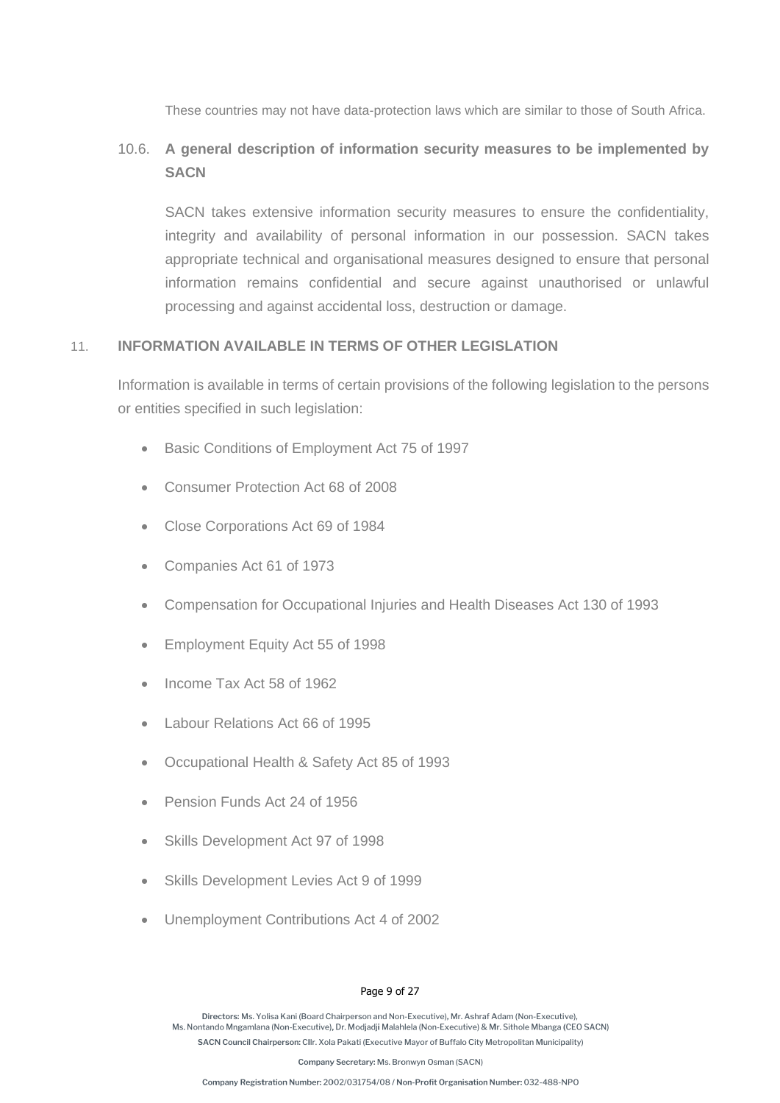These countries may not have data-protection laws which are similar to those of South Africa.

# 10.6. **A general description of information security measures to be implemented by SACN**

SACN takes extensive information security measures to ensure the confidentiality, integrity and availability of personal information in our possession. SACN takes appropriate technical and organisational measures designed to ensure that personal information remains confidential and secure against unauthorised or unlawful processing and against accidental loss, destruction or damage.

#### 11. **INFORMATION AVAILABLE IN TERMS OF OTHER LEGISLATION**

Information is available in terms of certain provisions of the following legislation to the persons or entities specified in such legislation:

- Basic Conditions of Employment Act 75 of 1997
- Consumer Protection Act 68 of 2008
- Close Corporations Act 69 of 1984
- Companies Act 61 of 1973
- Compensation for Occupational Injuries and Health Diseases Act 130 of 1993
- Employment Equity Act 55 of 1998
- Income Tax Act 58 of 1962
- Labour Relations Act 66 of 1995
- Occupational Health & Safety Act 85 of 1993
- Pension Funds Act 24 of 1956
- Skills Development Act 97 of 1998
- Skills Development Levies Act 9 of 1999
- Unemployment Contributions Act 4 of 2002

#### Page 9 of 27

Directors: Ms. Yolisa Kani (Board Chairperson and Non-Executive). Mr. Ashraf Adam (Non-Executive). Ms. Nontando Mngamlana (Non-Executive), Dr. Modjadji Malahlela (Non-Executive) & Mr. Sithole Mbanga (CEO SACN) SACN Council Chairperson: Cllr. Xola Pakati (Executive Mayor of Buffalo City Metropolitan Municipality)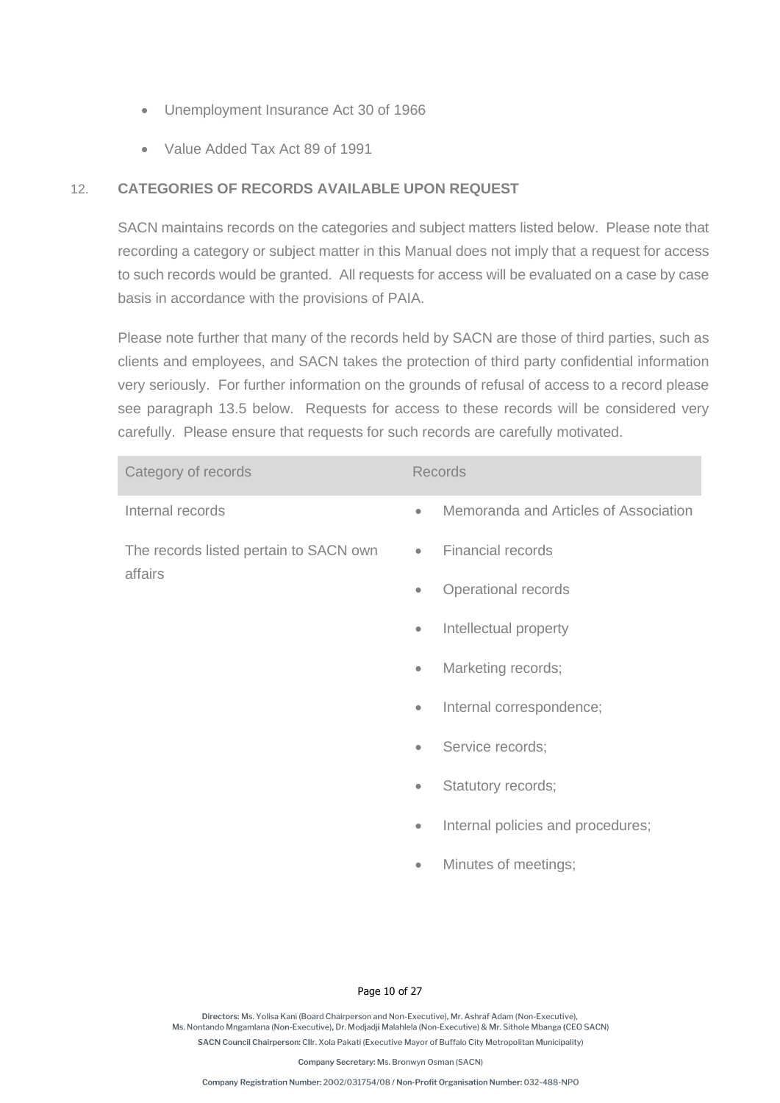- Unemployment Insurance Act 30 of 1966
- Value Added Tax Act 89 of 1991

## 12. **CATEGORIES OF RECORDS AVAILABLE UPON REQUEST**

SACN maintains records on the categories and subject matters listed below. Please note that recording a category or subject matter in this Manual does not imply that a request for access to such records would be granted. All requests for access will be evaluated on a case by case basis in accordance with the provisions of PAIA.

Please note further that many of the records held by SACN are those of third parties, such as clients and employees, and SACN takes the protection of third party confidential information very seriously. For further information on the grounds of refusal of access to a record please see paragraph [13.5](#page-13-0) below. Requests for access to these records will be considered very carefully. Please ensure that requests for such records are carefully motivated.

| Category of records                    |           | <b>Records</b>                        |
|----------------------------------------|-----------|---------------------------------------|
| Internal records                       | $\bullet$ | Memoranda and Articles of Association |
| The records listed pertain to SACN own | $\bullet$ | <b>Financial records</b>              |
| affairs                                | $\bullet$ | Operational records                   |
|                                        | $\bullet$ | Intellectual property                 |
|                                        | $\bullet$ | Marketing records;                    |
|                                        | $\bullet$ | Internal correspondence;              |
|                                        | $\bullet$ | Service records;                      |
|                                        | $\bullet$ | Statutory records;                    |
|                                        | $\bullet$ | Internal policies and procedures;     |
|                                        | $\bullet$ | Minutes of meetings;                  |
|                                        |           |                                       |

#### Page 10 of 27

Directors: Ms. Yolisa Kani (Board Chairperson and Non-Executive). Mr. Ashraf Adam (Non-Executive). Ms. Nontando Mngamlana (Non-Executive), Dr. Modjadji Malahlela (Non-Executive) & Mr. Sithole Mbanga (CEO SACN) SACN Council Chairperson: Cllr. Xola Pakati (Executive Mayor of Buffalo City Metropolitan Municipality)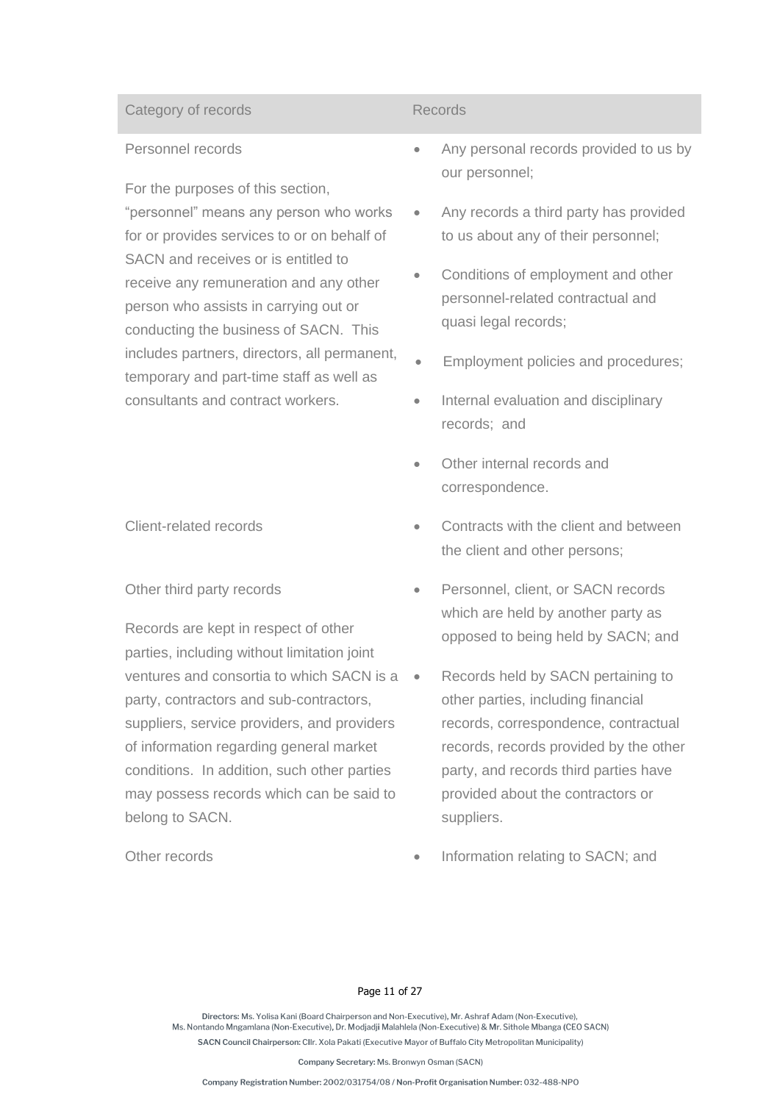#### Category of records **Records** Records

#### Personnel records

For the purposes of this section, "personnel" means any person who works for or provides services to or on behalf of SACN and receives or is entitled to receive any remuneration and any other person who assists in carrying out or conducting the business of SACN. This includes partners, directors, all permanent, temporary and part-time staff as well as consultants and contract workers.

#### Other third party records

Records are kept in respect of other parties, including without limitation joint ventures and consortia to which SACN is a party, contractors and sub-contractors, suppliers, service providers, and providers of information regarding general market conditions. In addition, such other parties may possess records which can be said to belong to SACN.

- Any personal records provided to us by our personnel;
- Any records a third party has provided to us about any of their personnel;
- Conditions of employment and other personnel-related contractual and quasi legal records;
- Employment policies and procedures;
- Internal evaluation and disciplinary records; and
- Other internal records and correspondence.
- Client-related records Contracts with the client and between the client and other persons;
	- Personnel, client, or SACN records which are held by another party as opposed to being held by SACN; and
	- Records held by SACN pertaining to other parties, including financial records, correspondence, contractual records, records provided by the other party, and records third parties have provided about the contractors or suppliers.
- Other records  **Information relating to SACN**; and

#### Page 11 of 27

Directors: Ms. Yolisa Kani (Board Chairnerson and Non-Executive), Mr. Ashraf Adam (Non-Executive) Ms. Nontando Mngamlana (Non-Executive), Dr. Modjadji Malahlela (Non-Executive) & Mr. Sithole Mbanga (CEO SACN) SACN Council Chairperson: Cllr. Xola Pakati (Executive Mayor of Buffalo City Metropolitan Municipality)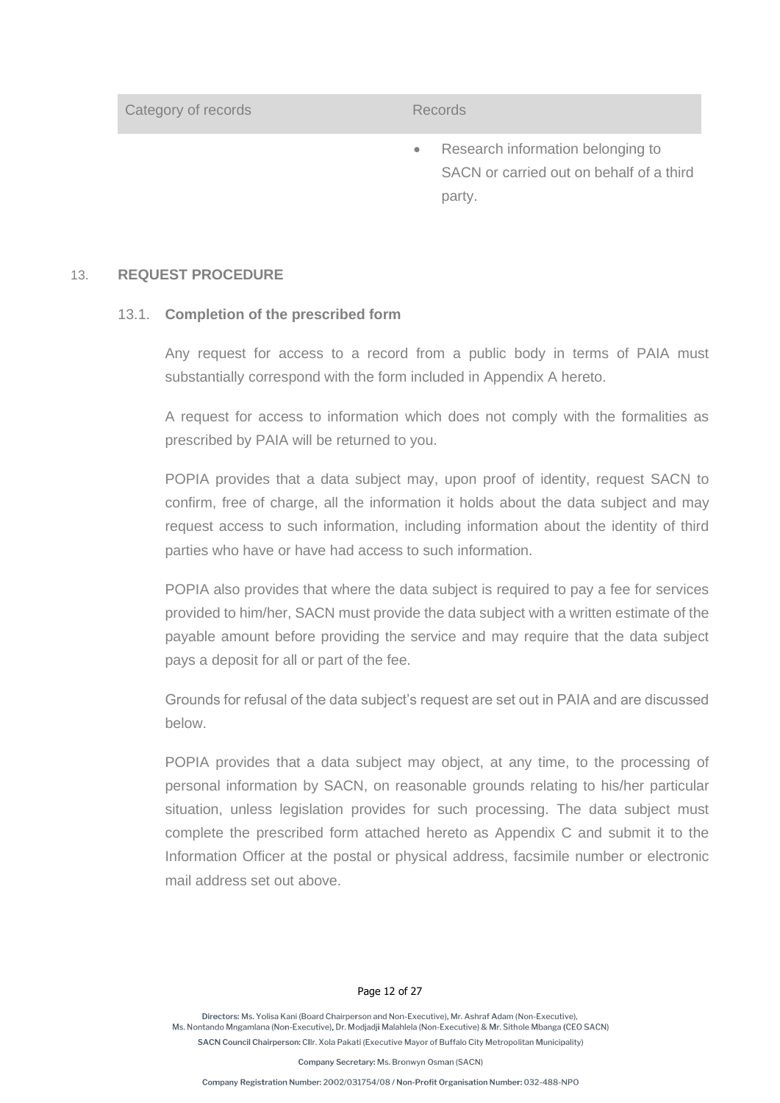Category of records **Records** Records

• Research information belonging to SACN or carried out on behalf of a third party.

#### 13. **REQUEST PROCEDURE**

#### 13.1. **Completion of the prescribed form**

Any request for access to a record from a public body in terms of PAIA must substantially correspond with the form included in Appendix A hereto.

A request for access to information which does not comply with the formalities as prescribed by PAIA will be returned to you.

POPIA provides that a data subject may, upon proof of identity, request SACN to confirm, free of charge, all the information it holds about the data subject and may request access to such information, including information about the identity of third parties who have or have had access to such information.

POPIA also provides that where the data subject is required to pay a fee for services provided to him/her, SACN must provide the data subject with a written estimate of the payable amount before providing the service and may require that the data subject pays a deposit for all or part of the fee.

Grounds for refusal of the data subject's request are set out in PAIA and are discussed below.

POPIA provides that a data subject may object, at any time, to the processing of personal information by SACN, on reasonable grounds relating to his/her particular situation, unless legislation provides for such processing. The data subject must complete the prescribed form attached hereto as Appendix C and submit it to the Information Officer at the postal or physical address, facsimile number or electronic mail address set out above.

#### Page 12 of 27

Directors: Ms. Yolisa Kani (Board Chairnerson and Non-Executive), Mr. Ashraf Adam (Non-Executive) Ms. Nontando Mngamlana (Non-Executive), Dr. Modjadji Malahlela (Non-Executive) & Mr. Sithole Mbanga (CEO SACN) SACN Council Chairperson: Cllr. Xola Pakati (Executive Mayor of Buffalo City Metropolitan Municipality)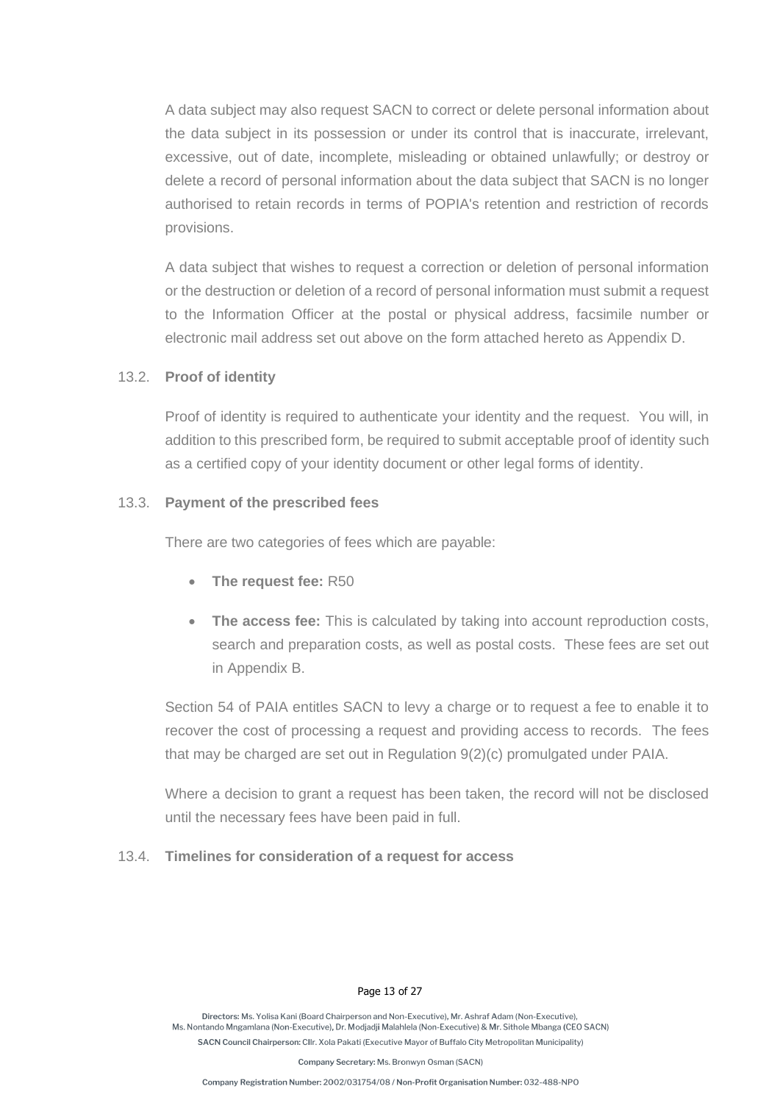A data subject may also request SACN to correct or delete personal information about the data subject in its possession or under its control that is inaccurate, irrelevant, excessive, out of date, incomplete, misleading or obtained unlawfully; or destroy or delete a record of personal information about the data subject that SACN is no longer authorised to retain records in terms of POPIA's retention and restriction of records provisions.

A data subject that wishes to request a correction or deletion of personal information or the destruction or deletion of a record of personal information must submit a request to the Information Officer at the postal or physical address, facsimile number or electronic mail address set out above on the form attached hereto as Appendix D.

#### 13.2. **Proof of identity**

Proof of identity is required to authenticate your identity and the request. You will, in addition to this prescribed form, be required to submit acceptable proof of identity such as a certified copy of your identity document or other legal forms of identity.

#### 13.3. **Payment of the prescribed fees**

There are two categories of fees which are payable:

- **The request fee:** R50
- **The access fee:** This is calculated by taking into account reproduction costs, search and preparation costs, as well as postal costs. These fees are set out in Appendix B.

Section 54 of PAIA entitles SACN to levy a charge or to request a fee to enable it to recover the cost of processing a request and providing access to records. The fees that may be charged are set out in Regulation 9(2)(c) promulgated under PAIA.

Where a decision to grant a request has been taken, the record will not be disclosed until the necessary fees have been paid in full.

#### 13.4. **Timelines for consideration of a request for access**

#### Page 13 of 27

Directors: Ms. Yolisa Kani (Board Chairperson and Non-Executive), Mr. Ashraf Adam (Non-Executive) Ms. Nontando Mngamlana (Non-Executive), Dr. Modjadji Malahlela (Non-Executive) & Mr. Sithole Mbanga (CEO SACN) SACN Council Chairperson: Cllr. Xola Pakati (Executive Mayor of Buffalo City Metropolitan Municipality)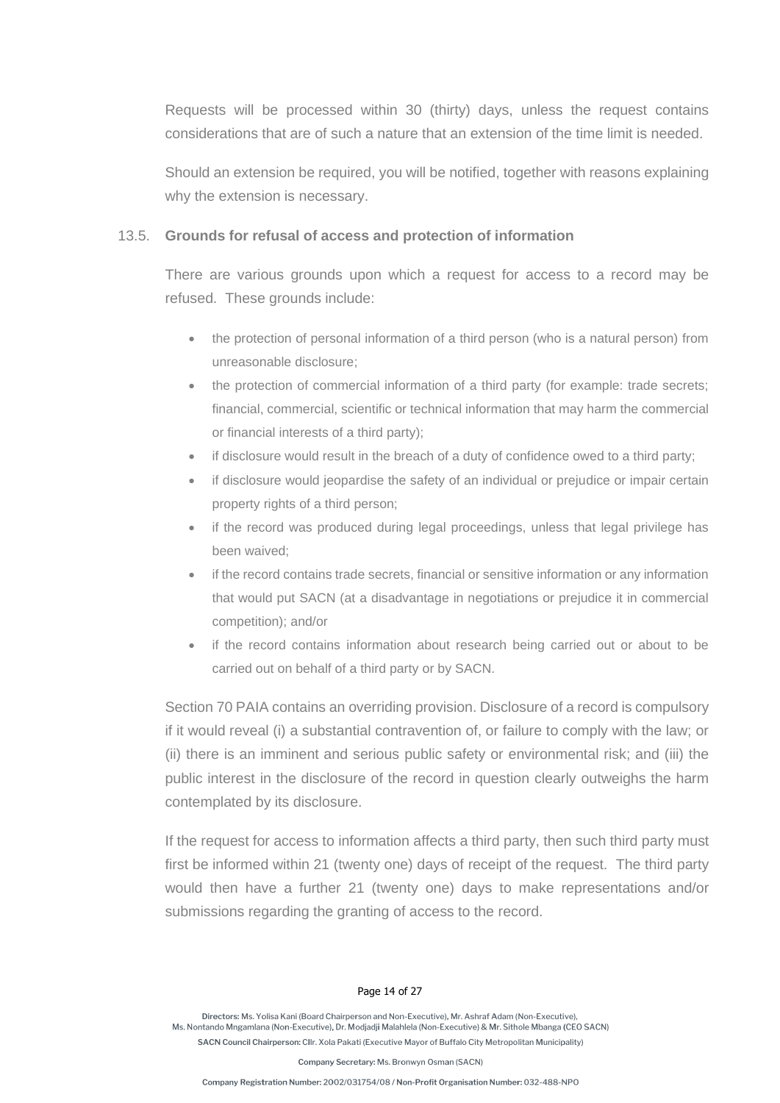Requests will be processed within 30 (thirty) days, unless the request contains considerations that are of such a nature that an extension of the time limit is needed.

Should an extension be required, you will be notified, together with reasons explaining why the extension is necessary.

#### <span id="page-13-0"></span>13.5. **Grounds for refusal of access and protection of information**

There are various grounds upon which a request for access to a record may be refused. These grounds include:

- the protection of personal information of a third person (who is a natural person) from unreasonable disclosure;
- the protection of commercial information of a third party (for example: trade secrets: financial, commercial, scientific or technical information that may harm the commercial or financial interests of a third party);
- if disclosure would result in the breach of a duty of confidence owed to a third party;
- if disclosure would jeopardise the safety of an individual or prejudice or impair certain property rights of a third person;
- if the record was produced during legal proceedings, unless that legal privilege has been waived;
- if the record contains trade secrets, financial or sensitive information or any information that would put SACN (at a disadvantage in negotiations or prejudice it in commercial competition); and/or
- if the record contains information about research being carried out or about to be carried out on behalf of a third party or by SACN.

Section 70 PAIA contains an overriding provision. Disclosure of a record is compulsory if it would reveal (i) a substantial contravention of, or failure to comply with the law; or (ii) there is an imminent and serious public safety or environmental risk; and (iii) the public interest in the disclosure of the record in question clearly outweighs the harm contemplated by its disclosure.

If the request for access to information affects a third party, then such third party must first be informed within 21 (twenty one) days of receipt of the request. The third party would then have a further 21 (twenty one) days to make representations and/or submissions regarding the granting of access to the record.

#### Page 14 of 27

Directors: Ms. Yolisa Kani (Board Chairnerson and Non-Executive), Mr. Ashraf Adam (Non-Executive) Ms. Nontando Mngamlana (Non-Executive), Dr. Modjadji Malahlela (Non-Executive) & Mr. Sithole Mbanga (CEO SACN) SACN Council Chairperson: Cllr. Xola Pakati (Executive Mayor of Buffalo City Metropolitan Municipality)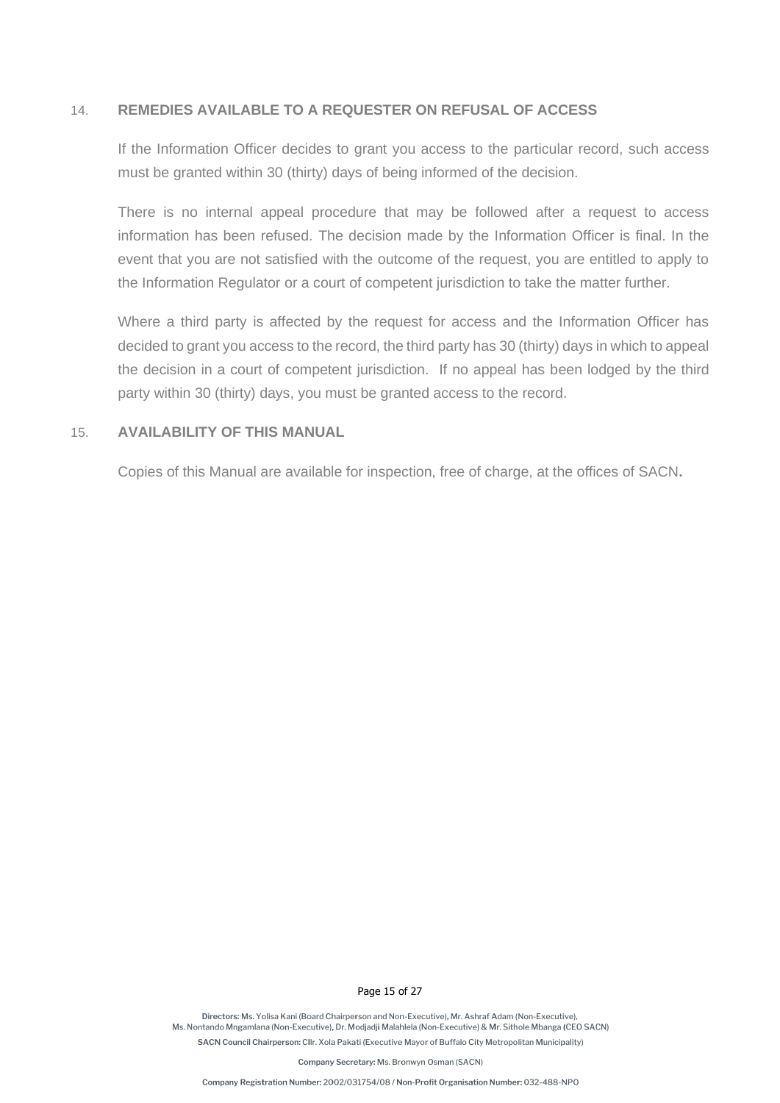#### 14. **REMEDIES AVAILABLE TO A REQUESTER ON REFUSAL OF ACCESS**

If the Information Officer decides to grant you access to the particular record, such access must be granted within 30 (thirty) days of being informed of the decision.

There is no internal appeal procedure that may be followed after a request to access information has been refused. The decision made by the Information Officer is final. In the event that you are not satisfied with the outcome of the request, you are entitled to apply to the Information Regulator or a court of competent jurisdiction to take the matter further.

Where a third party is affected by the request for access and the Information Officer has decided to grant you access to the record, the third party has 30 (thirty) days in which to appeal the decision in a court of competent jurisdiction. If no appeal has been lodged by the third party within 30 (thirty) days, you must be granted access to the record.

#### 15. **AVAILABILITY OF THIS MANUAL**

Copies of this Manual are available for inspection, free of charge, at the offices of SACN**.** 

Page 15 of 27

Directors: Ms. Yolisa Kani (Board Chairperson and Non-Executive). Mr. Ashraf Adam (Non-Executive). Ms. Nontando Mngamlana (Non-Executive), Dr. Modjadji Malahlela (Non-Executive) & Mr. Sithole Mbanga (CEO SACN) SACN Council Chairperson: Cllr. Xola Pakati (Executive Mayor of Buffalo City Metropolitan Municipality)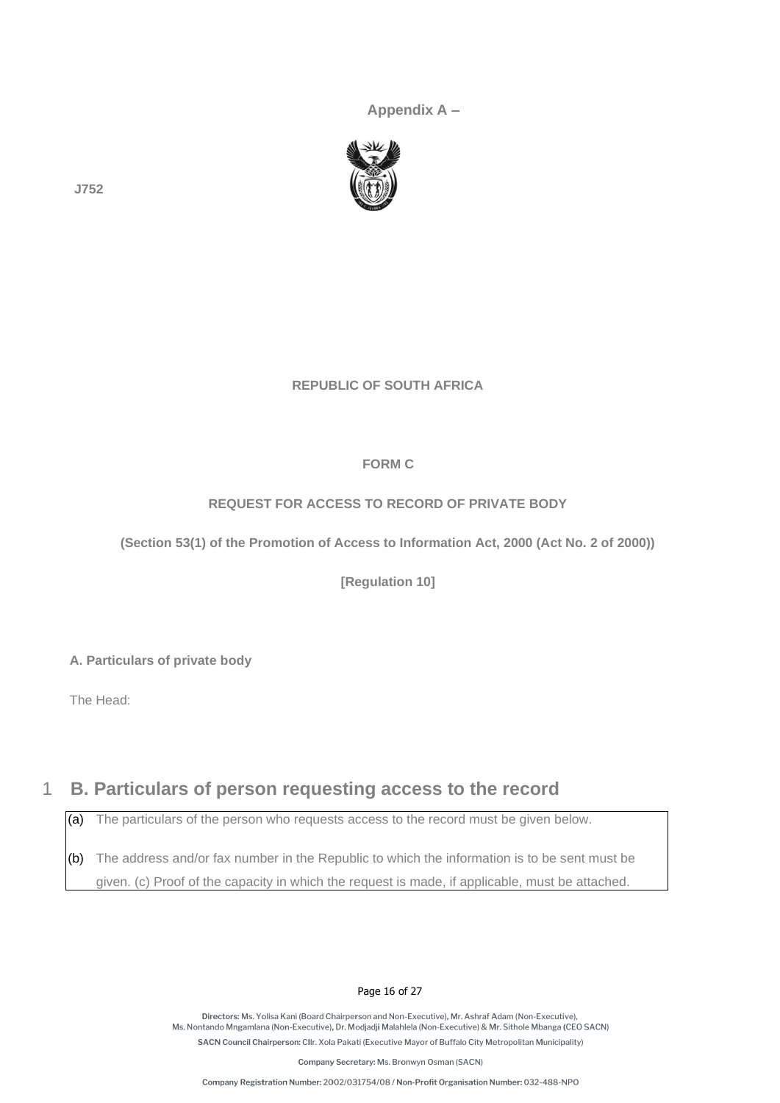**Appendix A –**



**J752** 

#### **REPUBLIC OF SOUTH AFRICA**

#### **FORM C**

#### **REQUEST FOR ACCESS TO RECORD OF PRIVATE BODY**

**(Section 53(1) of the Promotion of Access to Information Act, 2000 (Act No. 2 of 2000))** 

**[Regulation 10]** 

**A. Particulars of private body** 

The Head:

# 1 **B. Particulars of person requesting access to the record**

(a) The particulars of the person who requests access to the record must be given below.

(b) The address and/or fax number in the Republic to which the information is to be sent must be given. (c) Proof of the capacity in which the request is made, if applicable, must be attached.

#### Page 16 of 27

Directors: Ms. Yolisa Kani (Board Chairperson and Non-Executive). Mr. Ashraf Adam (Non-Executive). Ms. Nontando Mngamlana (Non-Executive), Dr. Modjadji Malahlela (Non-Executive) & Mr. Sithole Mbanga (CEO SACN) SACN Council Chairperson: Cllr. Xola Pakati (Executive Mayor of Buffalo City Metropolitan Municipality)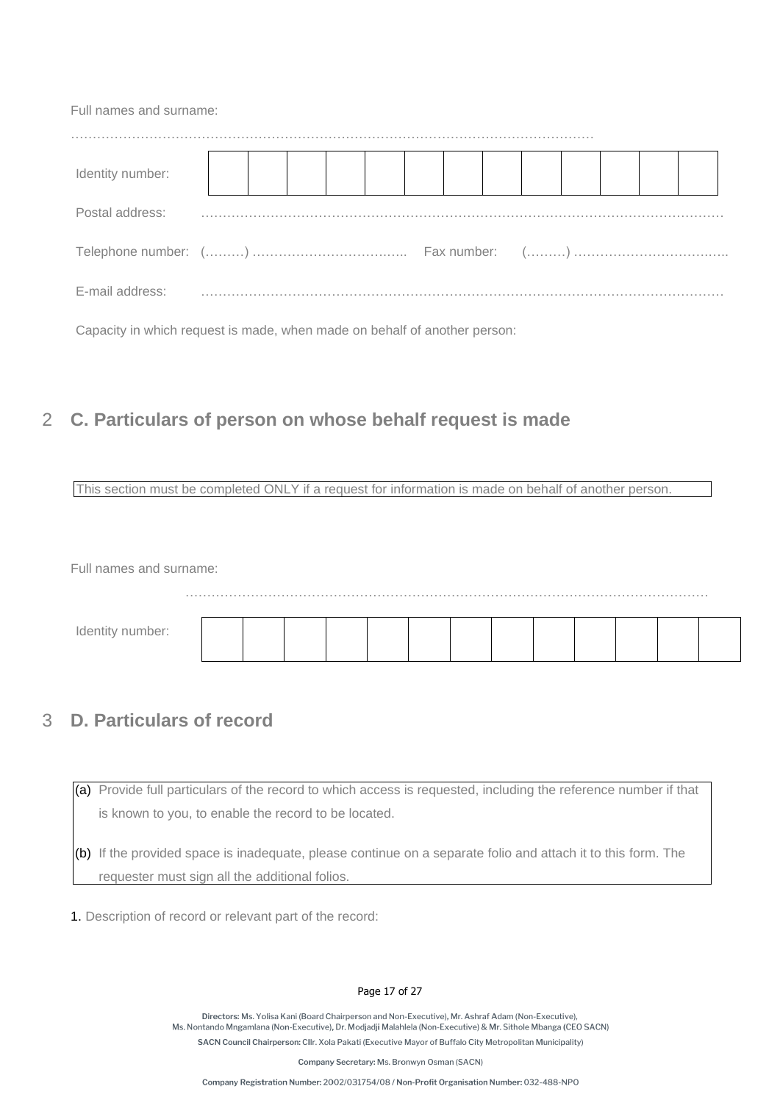Capacity in which request is made, when made on behalf of another person:

# 2 **C. Particulars of person on whose behalf request is made**

This section must be completed ONLY if a request for information is made on behalf of another person.

Full names and surname:

| Identity number: |  |  |  |  |  |  |  |
|------------------|--|--|--|--|--|--|--|
|                  |  |  |  |  |  |  |  |

# 3 **D. Particulars of record**

(a) Provide full particulars of the record to which access is requested, including the reference number if that is known to you, to enable the record to be located.

(b) If the provided space is inadequate, please continue on a separate folio and attach it to this form. The requester must sign all the additional folios.

1. Description of record or relevant part of the record:

#### Page 17 of 27

Directors: Ms. Yolisa Kani (Board Chairperson and Non-Executive), Mr. Ashraf Adam (Non-Executive) Ms. Nontando Mngamlana (Non-Executive), Dr. Modjadji Malahlela (Non-Executive) & Mr. Sithole Mbanga (CEO SACN) SACN Council Chairperson: Cllr. Xola Pakati (Executive Mayor of Buffalo City Metropolitan Municipality)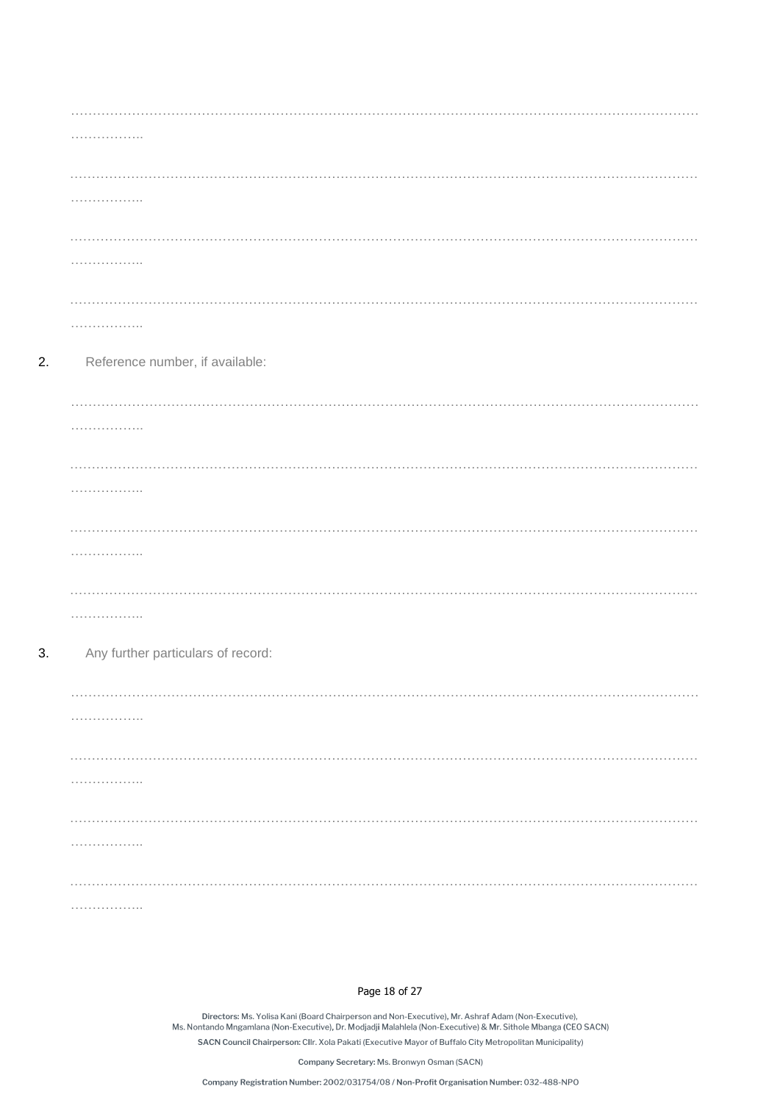| .                                  |
|------------------------------------|
|                                    |
| .                                  |
|                                    |
| .                                  |
|                                    |
| .                                  |
| Reference number, if available:    |
| .                                  |
| .                                  |
|                                    |
| .                                  |
|                                    |
| .                                  |
|                                    |
| .                                  |
| Any further particulars of record: |
|                                    |
| .                                  |
|                                    |
| .<br>.                             |
|                                    |
| .<br>.                             |
|                                    |
|                                    |
| .                                  |

 $2.$ 

 $3.$ 

#### Page 18 of 27

.<br>Directors: Ms. Yolisa Kani (Board Chairperson and Non-Executive), Mr. Ashraf Adam (Non-Executive),<br>Ms. Nontando Mngamlana (Non-Executive), Dr. Modjadji Malahlela (Non-Executive) & Mr. Sithole Mbanga (CEO SACN) SACN Council Chairperson: Cllr. Xola Pakati (Executive Mayor of Buffalo City Metropolitan Municipality)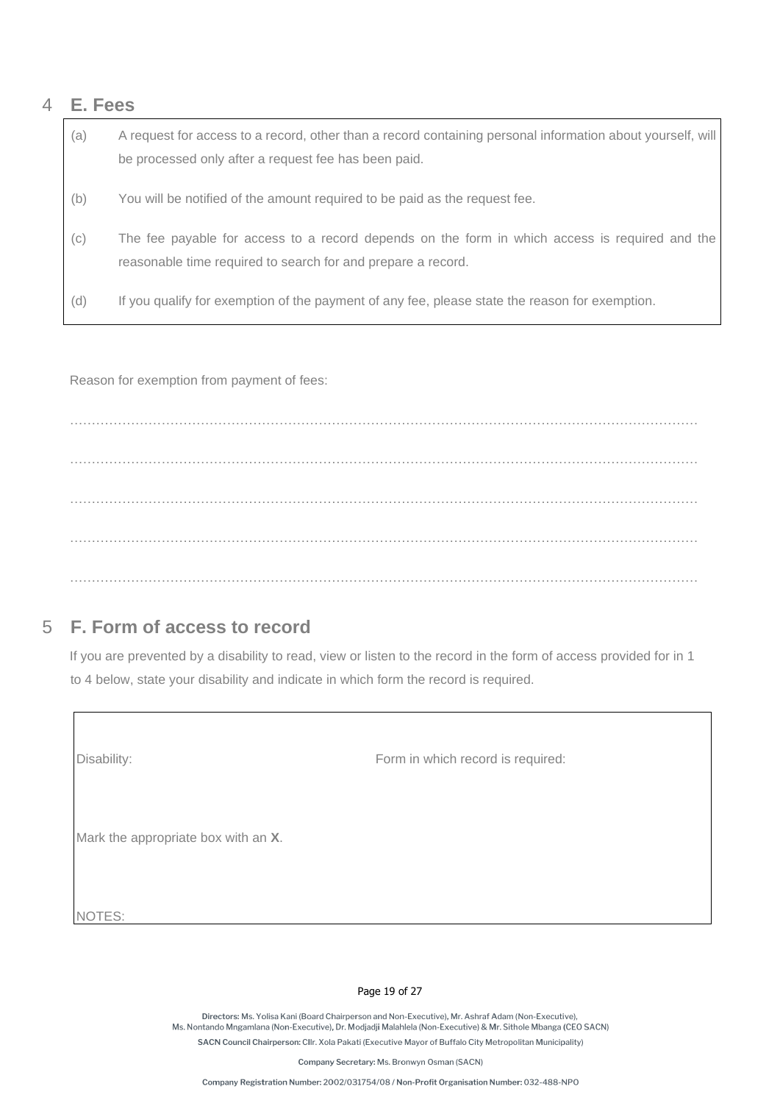## 4 **E. Fees**

(a) A request for access to a record, other than a record containing personal information about yourself, will be processed only after a request fee has been paid. (b) You will be notified of the amount required to be paid as the request fee. (c) The fee payable for access to a record depends on the form in which access is required and the reasonable time required to search for and prepare a record. (d) If you qualify for exemption of the payment of any fee, please state the reason for exemption.

Reason for exemption from payment of fees:

……………………………………………………………………………………………………………………………… ……………………………………………………………………………………………………………………………… ……………………………………………………………………………………………………………………………… ………………………………………………………………………………………………………………………………

# 5 **F. Form of access to record**

If you are prevented by a disability to read, view or listen to the record in the form of access provided for in 1 to 4 below, state your disability and indicate in which form the record is required.

| Disability:                         | Form in which record is required: |
|-------------------------------------|-----------------------------------|
| Mark the appropriate box with an X. |                                   |
| NOTES:                              |                                   |

#### Page 19 of 27

Directors: Ms. Yolisa Kani (Board Chairperson and Non-Executive). Mr. Ashraf Adam (Non-Executive). Ms. Nontando Mngamlana (Non-Executive), Dr. Modjadji Malahlela (Non-Executive) & Mr. Sithole Mbanga (CEO SACN) SACN Council Chairperson: Cllr. Xola Pakati (Executive Mayor of Buffalo City Metropolitan Municipality)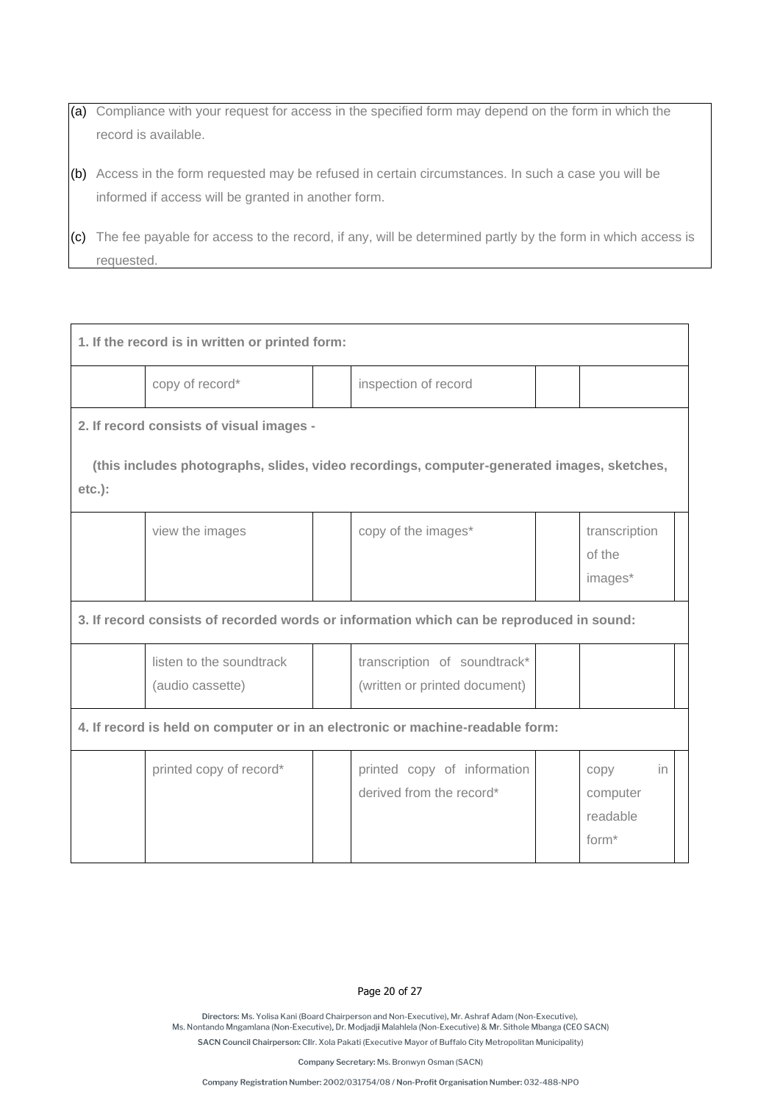(a) Compliance with your request for access in the specified form may depend on the form in which the record is available.

(b) Access in the form requested may be refused in certain circumstances. In such a case you will be informed if access will be granted in another form.

(c) The fee payable for access to the record, if any, will be determined partly by the form in which access is requested.

| 1. If the record is in written or printed form:                                |                                                                                          |  |                                                                                            |  |                                                         |  |
|--------------------------------------------------------------------------------|------------------------------------------------------------------------------------------|--|--------------------------------------------------------------------------------------------|--|---------------------------------------------------------|--|
|                                                                                | copy of record*                                                                          |  | inspection of record                                                                       |  |                                                         |  |
|                                                                                | 2. If record consists of visual images -                                                 |  |                                                                                            |  |                                                         |  |
| $etc.$ ):                                                                      |                                                                                          |  | (this includes photographs, slides, video recordings, computer-generated images, sketches, |  |                                                         |  |
|                                                                                | view the images                                                                          |  | copy of the images*                                                                        |  | transcription<br>of the<br>images*                      |  |
|                                                                                | 3. If record consists of recorded words or information which can be reproduced in sound: |  |                                                                                            |  |                                                         |  |
|                                                                                | listen to the soundtrack<br>(audio cassette)                                             |  | transcription of soundtrack*<br>(written or printed document)                              |  |                                                         |  |
| 4. If record is held on computer or in an electronic or machine-readable form: |                                                                                          |  |                                                                                            |  |                                                         |  |
|                                                                                | printed copy of record*                                                                  |  | printed copy of information<br>derived from the record*                                    |  | in<br>copy<br>computer<br>readable<br>form <sup>*</sup> |  |

#### Page 20 of 27

Directors: Ms. Yolisa Kani (Board Chairperson and Non-Executive). Mr. Ashraf Adam (Non-Executive). Ms. Nontando Mngamlana (Non-Executive), Dr. Modjadji Malahlela (Non-Executive) & Mr. Sithole Mbanga (CEO SACN) SACN Council Chairperson: Cllr. Xola Pakati (Executive Mayor of Buffalo City Metropolitan Municipality)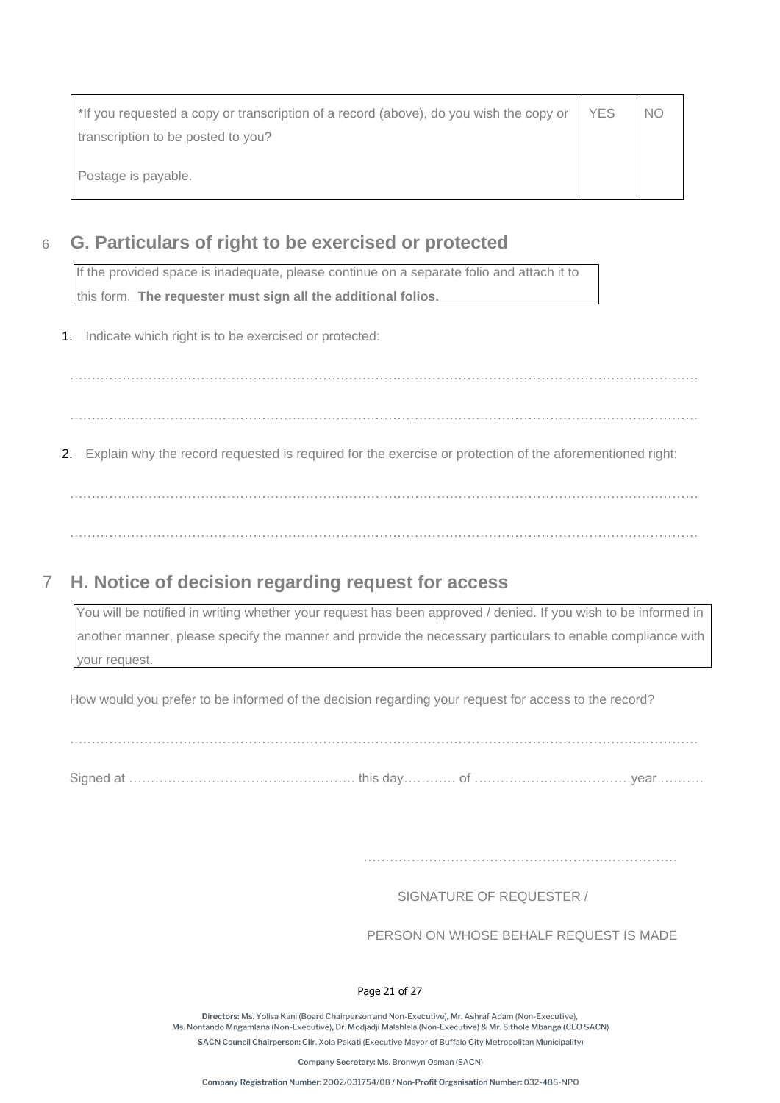| *If you requested a copy or transcription of a record (above), do you wish the copy or | <b>YES</b> | N() |
|----------------------------------------------------------------------------------------|------------|-----|
| transcription to be posted to you?                                                     |            |     |
| Postage is payable.                                                                    |            |     |

# 6 **G. Particulars of right to be exercised or protected**

If the provided space is inadequate, please continue on a separate folio and attach it to this form. **The requester must sign all the additional folios.** 

1. Indicate which right is to be exercised or protected:

……………………………………………………………………………………………………………………………… ………………………………………………………………………………………………………………………………

2. Explain why the record requested is required for the exercise or protection of the aforementioned right:

……………………………………………………………………………………………………………………………… ………………………………………………………………………………………………………………………………

# 7 **H. Notice of decision regarding request for access**

You will be notified in writing whether your request has been approved / denied. If you wish to be informed in another manner, please specify the manner and provide the necessary particulars to enable compliance with your request.

How would you prefer to be informed of the decision regarding your request for access to the record?

………………………………………………………………………………………………………………………………

Signed at ……………………………………………. this day………… of ………………………………year ……….

SIGNATURE OF REQUESTER /

PERSON ON WHOSE BEHALF REQUEST IS MADE

#### Page 21 of 27

Directors: Ms. Yolisa Kani (Board Chairperson and Non-Executive). Mr. Ashraf Adam (Non-Executive). Ms. Nontando Mngamlana (Non-Executive), Dr. Modjadji Malahlela (Non-Executive) & Mr. Sithole Mbanga (CEO SACN) SACN Council Chairperson: Cllr. Xola Pakati (Executive Mayor of Buffalo City Metropolitan Municipality)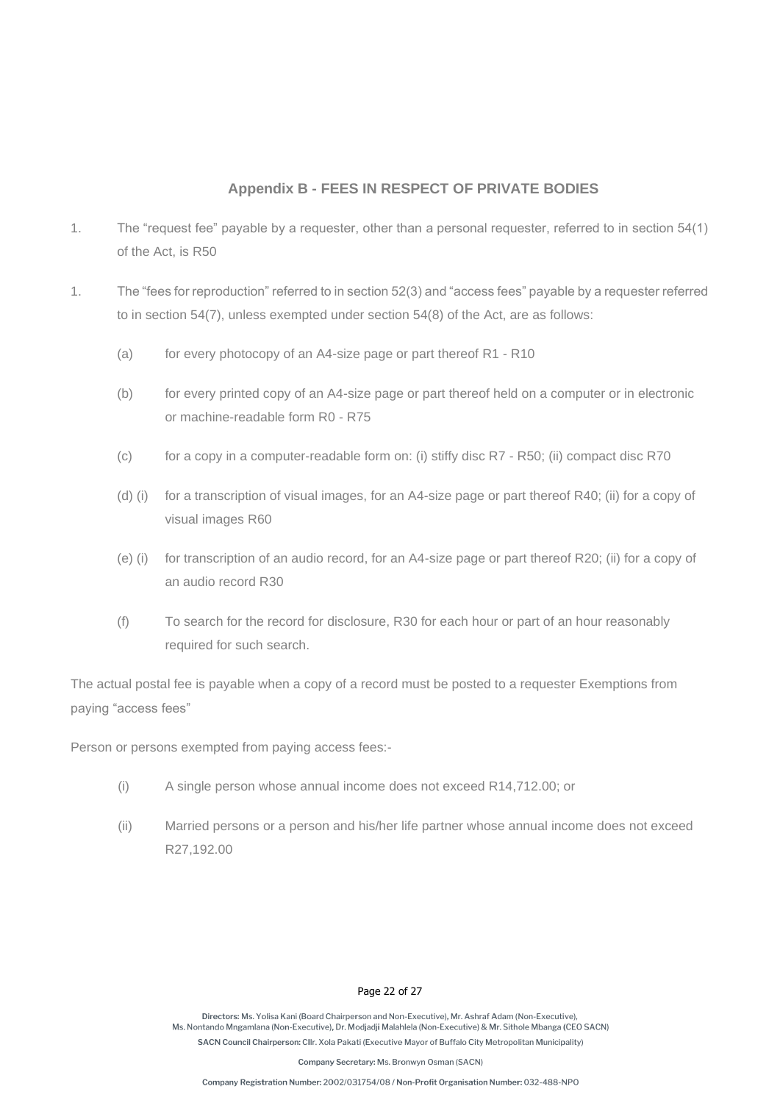#### **Appendix B - FEES IN RESPECT OF PRIVATE BODIES**

- 1. The "request fee" payable by a requester, other than a personal requester, referred to in section 54(1) of the Act, is R50
- 1. The "fees for reproduction" referred to in section 52(3) and "access fees" payable by a requester referred to in section 54(7), unless exempted under section 54(8) of the Act, are as follows:
	- (a) for every photocopy of an A4-size page or part thereof R1 R10
	- (b) for every printed copy of an A4-size page or part thereof held on a computer or in electronic or machine-readable form R0 - R75
	- (c) for a copy in a computer-readable form on: (i) stiffy disc R7 R50; (ii) compact disc R70
	- (d) (i) for a transcription of visual images, for an A4-size page or part thereof R40; (ii) for a copy of visual images R60
	- (e) (i) for transcription of an audio record, for an A4-size page or part thereof R20; (ii) for a copy of an audio record R30
	- (f) To search for the record for disclosure, R30 for each hour or part of an hour reasonably required for such search.

The actual postal fee is payable when a copy of a record must be posted to a requester Exemptions from paying "access fees"

Person or persons exempted from paying access fees:-

- (i) A single person whose annual income does not exceed R14,712.00; or
- (ii) Married persons or a person and his/her life partner whose annual income does not exceed R27,192.00

#### Page 22 of 27

Directors: Ms. Yolisa Kani (Board Chairperson and Non-Executive). Mr. Ashraf Adam (Non-Executive). Ms. Nontando Mngamlana (Non-Executive), Dr. Modjadji Malahlela (Non-Executive) & Mr. Sithole Mbanga (CEO SACN) SACN Council Chairperson: Cllr. Xola Pakati (Executive Mayor of Buffalo City Metropolitan Municipality)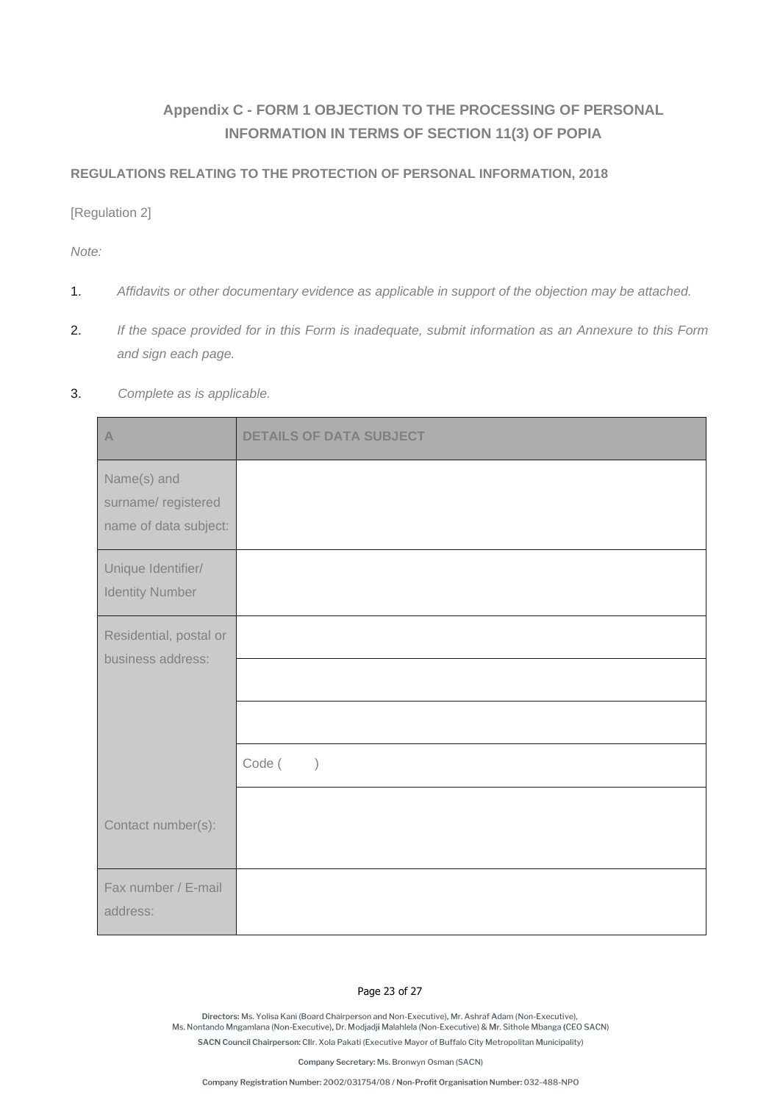# **Appendix C - FORM 1 OBJECTION TO THE PROCESSING OF PERSONAL INFORMATION IN TERMS OF SECTION 11(3) OF POPIA**

#### **REGULATIONS RELATING TO THE PROTECTION OF PERSONAL INFORMATION, 2018**

[Regulation 2]

*Note:* 

- 1. *Affidavits or other documentary evidence as applicable in support of the objection may be attached.*
- 2. *If the space provided for in this Form is inadequate, submit information as an Annexure to this Form and sign each page.*

#### 3. *Complete as is applicable.*

| $\mathbb{A}$                                               | <b>DETAILS OF DATA SUBJECT</b> |
|------------------------------------------------------------|--------------------------------|
| Name(s) and<br>surname/registered<br>name of data subject: |                                |
| Unique Identifier/<br><b>Identity Number</b>               |                                |
| Residential, postal or<br>business address:                |                                |
|                                                            |                                |
|                                                            |                                |
|                                                            | Code (<br>$\left( \right)$     |
| Contact number(s):                                         |                                |
| Fax number / E-mail<br>address:                            |                                |

#### Page 23 of 27

Directors: Ms. Yolisa Kani (Board Chairperson and Non-Executive). Mr. Ashraf Adam (Non-Executive). Ms. Nontando Mngamlana (Non-Executive), Dr. Modjadji Malahlela (Non-Executive) & Mr. Sithole Mbanga (CEO SACN) SACN Council Chairperson: Cllr. Xola Pakati (Executive Mayor of Buffalo City Metropolitan Municipality)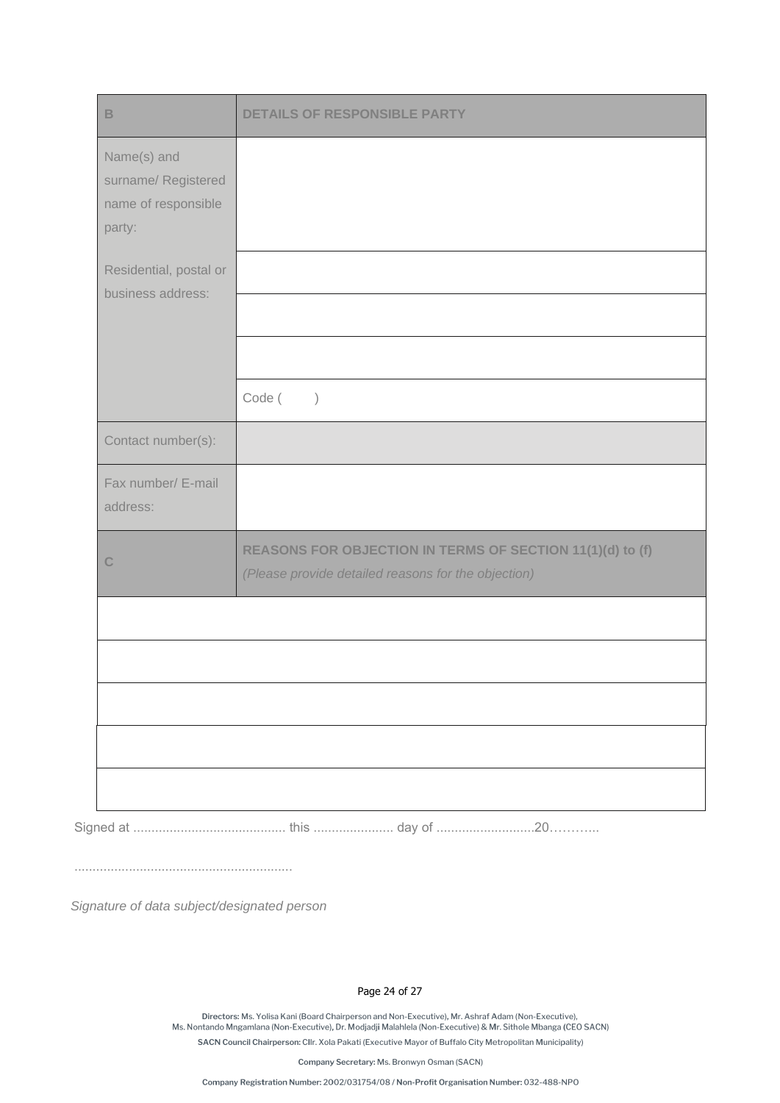| $\mathsf B$                                                         | <b>DETAILS OF RESPONSIBLE PARTY</b>                                                                              |
|---------------------------------------------------------------------|------------------------------------------------------------------------------------------------------------------|
| Name(s) and<br>surname/ Registered<br>name of responsible<br>party: |                                                                                                                  |
| Residential, postal or<br>business address:                         |                                                                                                                  |
|                                                                     |                                                                                                                  |
|                                                                     | Code (<br>$\left( \right)$                                                                                       |
| Contact number(s):                                                  |                                                                                                                  |
| Fax number/ E-mail<br>address:                                      |                                                                                                                  |
| $\mathbb{C}$                                                        | REASONS FOR OBJECTION IN TERMS OF SECTION 11(1)(d) to (f)<br>(Please provide detailed reasons for the objection) |
|                                                                     |                                                                                                                  |
|                                                                     |                                                                                                                  |
|                                                                     |                                                                                                                  |
|                                                                     |                                                                                                                  |
|                                                                     |                                                                                                                  |

Signed at .......................................... this ...................... day of ...........................20………...

............................................................

*Signature of data subject/designated person*

Page 24 of 27

.<br>Directors: Ms. Yolisa Kani (Board Chairperson and Non-Executive), Mr. Ashraf Adam (Non-Executive),<br>Ms. Nontando Mngamlana (Non-Executive), Dr. Modjadji Malahlela (Non-Executive) & Mr. Sithole Mbanga (CEO SACN) SACN Council Chairperson: Cllr. Xola Pakati (Executive Mayor of Buffalo City Metropolitan Municipality)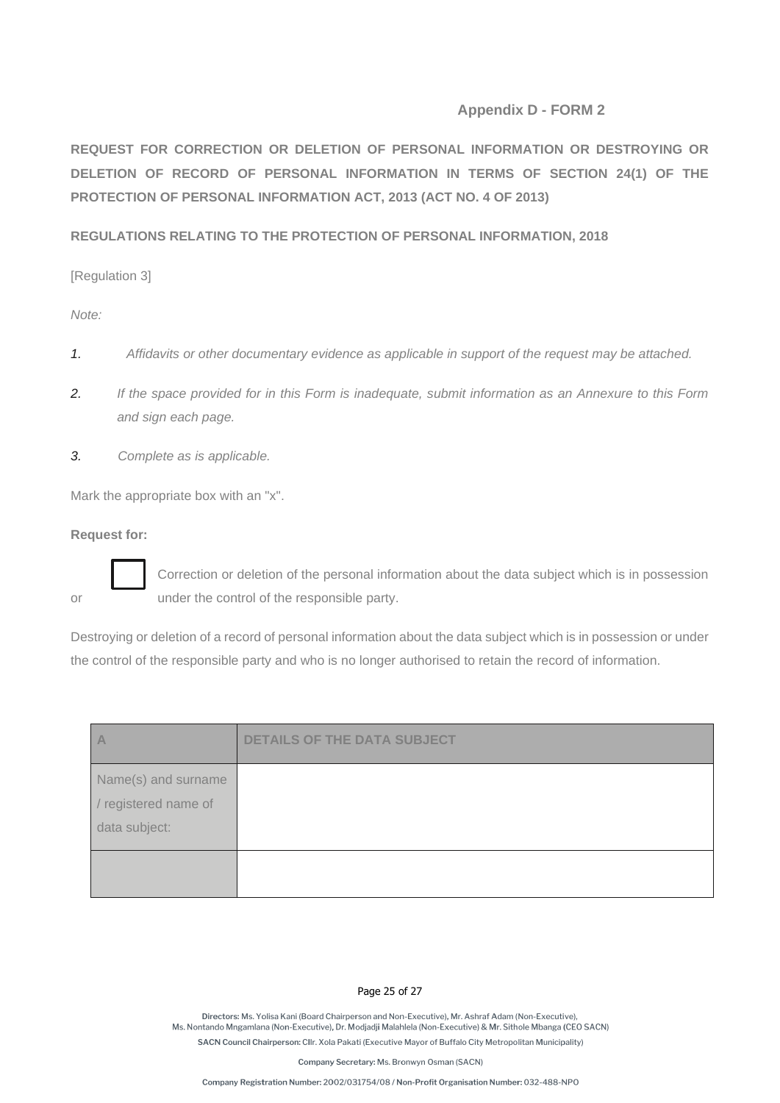#### **Appendix D - FORM 2**

**REQUEST FOR CORRECTION OR DELETION OF PERSONAL INFORMATION OR DESTROYING OR DELETION OF RECORD OF PERSONAL INFORMATION IN TERMS OF SECTION 24(1) OF THE PROTECTION OF PERSONAL INFORMATION ACT, 2013 (ACT NO. 4 OF 2013)**

**REGULATIONS RELATING TO THE PROTECTION OF PERSONAL INFORMATION, 2018**

[Regulation 3]

*Note:* 

- *1. Affidavits or other documentary evidence as applicable in support of the request may be attached.*
- *2. If the space provided for in this Form is inadequate, submit information as an Annexure to this Form and sign each page.*
- *3. Complete as is applicable.*

Mark the appropriate box with an "x".

**Request for:** 



Correction or deletion of the personal information about the data subject which is in possession or under the control of the responsible party.

Destroying or deletion of a record of personal information about the data subject which is in possession or under the control of the responsible party and who is no longer authorised to retain the record of information.

| $\overline{A}$                                               | <b>DETAILS OF THE DATA SUBJECT</b> |
|--------------------------------------------------------------|------------------------------------|
| Name(s) and surname<br>/ registered name of<br>data subject: |                                    |
|                                                              |                                    |

#### Page 25 of 27

Directors: Ms. Yolisa Kani (Board Chairperson and Non-Executive). Mr. Ashraf Adam (Non-Executive). Ms. Nontando Mngamlana (Non-Executive), Dr. Modjadji Malahlela (Non-Executive) & Mr. Sithole Mbanga (CEO SACN) SACN Council Chairperson: Cllr. Xola Pakati (Executive Mayor of Buffalo City Metropolitan Municipality)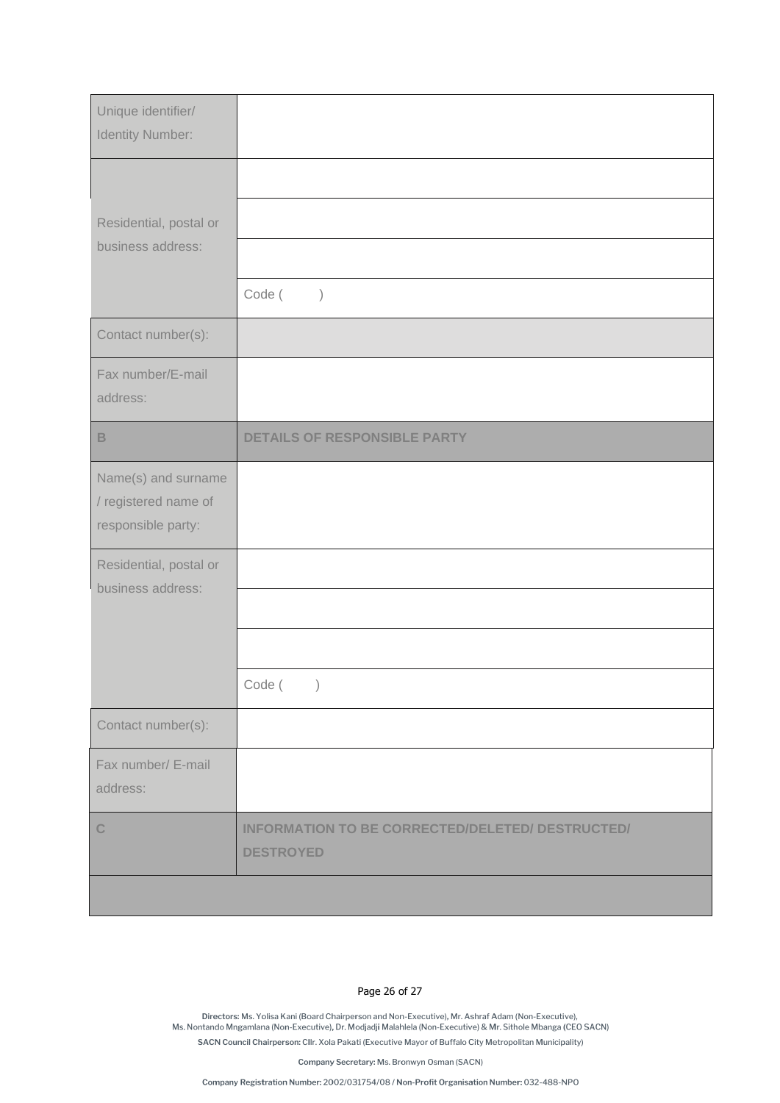| Unique identifier/<br>Identity Number:                            |                                                                      |
|-------------------------------------------------------------------|----------------------------------------------------------------------|
|                                                                   |                                                                      |
| Residential, postal or<br>business address:                       |                                                                      |
|                                                                   | Code (<br>$\big)$                                                    |
| Contact number(s):                                                |                                                                      |
| Fax number/E-mail<br>address:                                     |                                                                      |
| $\mathsf B$                                                       | <b>DETAILS OF RESPONSIBLE PARTY</b>                                  |
| Name(s) and surname<br>/ registered name of<br>responsible party: |                                                                      |
| Residential, postal or<br>business address:                       |                                                                      |
|                                                                   |                                                                      |
|                                                                   |                                                                      |
|                                                                   | Code (<br>$\big)$                                                    |
| Contact number(s):                                                |                                                                      |
| Fax number/ E-mail<br>address:                                    |                                                                      |
| $\mathbb{C}$                                                      | INFORMATION TO BE CORRECTED/DELETED/ DESTRUCTED/<br><b>DESTROYED</b> |
|                                                                   |                                                                      |

#### Page 26 of 27

.<br>Directors: Ms. Yolisa Kani (Board Chairperson and Non-Executive), Mr. Ashraf Adam (Non-Executive),<br>Ms. Nontando Mngamlana (Non-Executive), Dr. Modjadji Malahlela (Non-Executive) & Mr. Sithole Mbanga (CEO SACN) SACN Council Chairperson: Cllr. Xola Pakati (Executive Mayor of Buffalo City Metropolitan Municipality)